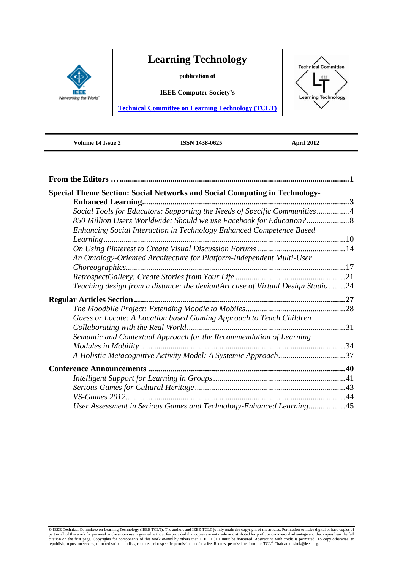

**Volume 14 Issue 2 ISSN 1438-0625 April 2012**

<span id="page-0-0"></span>

| <b>Special Theme Section: Social Networks and Social Computing in Technology-</b> |  |
|-----------------------------------------------------------------------------------|--|
| <b>Enhanced Learning</b>                                                          |  |
| Social Tools for Educators: Supporting the Needs of Specific Communities4         |  |
| 850 Million Users Worldwide: Should we use Facebook for Education?                |  |
| Enhancing Social Interaction in Technology Enhanced Competence Based              |  |
|                                                                                   |  |
|                                                                                   |  |
| An Ontology-Oriented Architecture for Platform-Independent Multi-User             |  |
|                                                                                   |  |
|                                                                                   |  |
| Teaching design from a distance: the deviantArt case of Virtual Design Studio 24  |  |
|                                                                                   |  |
|                                                                                   |  |
| Guess or Locate: A Location based Gaming Approach to Teach Children               |  |
| Collaborating with the Real World.                                                |  |
| Semantic and Contextual Approach for the Recommendation of Learning               |  |
|                                                                                   |  |
| A Holistic Metacognitive Activity Model: A Systemic Approach37                    |  |
|                                                                                   |  |
|                                                                                   |  |
|                                                                                   |  |
| <b>VS-Games 2012.</b>                                                             |  |
| User Assessment in Serious Games and Technology-Enhanced Learning45               |  |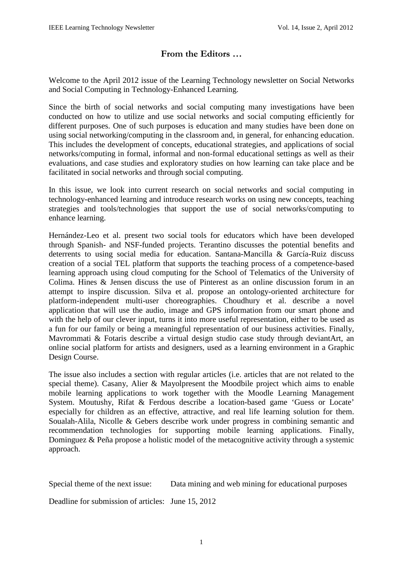# **From the Editors …**

Welcome to the April 2012 issue of the Learning Technology newsletter on Social Networks and Social Computing in Technology-Enhanced Learning.

Since the birth of social networks and social computing many investigations have been conducted on how to utilize and use social networks and social computing efficiently for different purposes. One of such purposes is education and many studies have been done on using social networking/computing in the classroom and, in general, for enhancing education. This includes the development of concepts, educational strategies, and applications of social networks/computing in formal, informal and non-formal educational settings as well as their evaluations, and case studies and exploratory studies on how learning can take place and be facilitated in social networks and through social computing.

In this issue, we look into current research on social networks and social computing in technology-enhanced learning and introduce research works on using new concepts, teaching strategies and tools/technologies that support the use of social networks/computing to enhance learning.

Hernández-Leo et al. present two social tools for educators which have been developed through Spanish- and NSF-funded projects. Terantino discusses the potential benefits and deterrents to using social media for education. Santana-Mancilla & García-Ruiz discuss creation of a social TEL platform that supports the teaching process of a competence-based learning approach using cloud computing for the School of Telematics of the University of Colima. Hines & Jensen discuss the use of Pinterest as an online discussion forum in an attempt to inspire discussion. Silva et al. propose an ontology-oriented architecture for platform-independent multi-user choreographies. Choudhury et al. describe a novel application that will use the audio, image and GPS information from our smart phone and with the help of our clever input, turns it into more useful representation, either to be used as a fun for our family or being a meaningful representation of our business activities. Finally, Mavrommati & Fotaris describe a virtual design studio case study through deviantArt, an online social platform for artists and designers, used as a learning environment in a Graphic Design Course.

The issue also includes a section with regular articles (i.e. articles that are not related to the special theme). Casany, Alier & Mayolpresent the Moodbile project which aims to enable mobile learning applications to work together with the Moodle Learning Management System. Moutushy, Rifat & Ferdous describe a location-based game 'Guess or Locate' especially for children as an effective, attractive, and real life learning solution for them. Soualah-Alila, Nicolle & Gebers describe work under progress in combining semantic and recommendation technologies for supporting mobile learning applications. Finally, Dominguez & Peña propose a holistic model of the metacognitive activity through a systemic approach.

Special theme of the next issue: Data mining and web mining for educational purposes

Deadline for submission of articles: June 15, 2012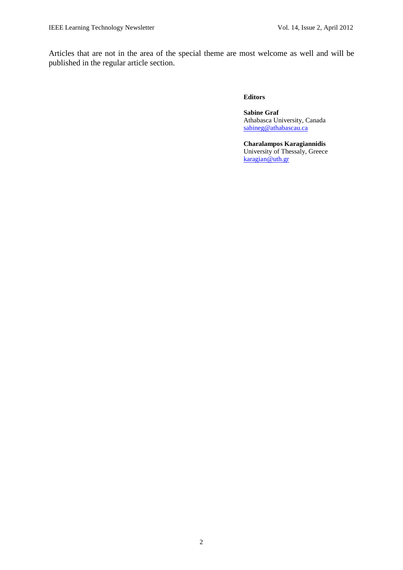Articles that are not in the area of the special theme are most welcome as well and will be published in the regular article section.

#### **Editors**

**Sabine Graf**  Athabasca University, Canada [sabineg@athabascau.ca](mailto:sabineg@athabascau.ca)

**Charalampos Karagiannidis** University of Thessaly, Greece [karagian@uth.gr](mailto:karagian@uth.gr)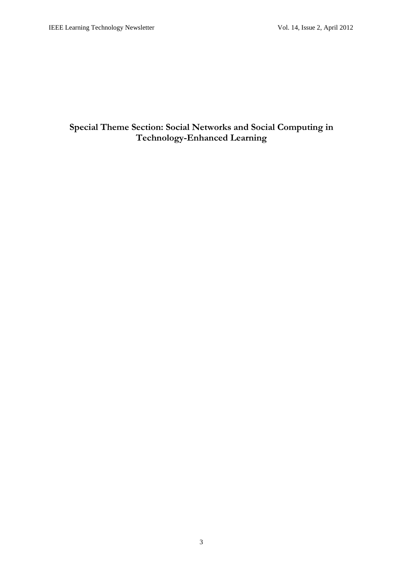# **Special Theme Section: Social Networks and Social Computing in Technology-Enhanced Learning**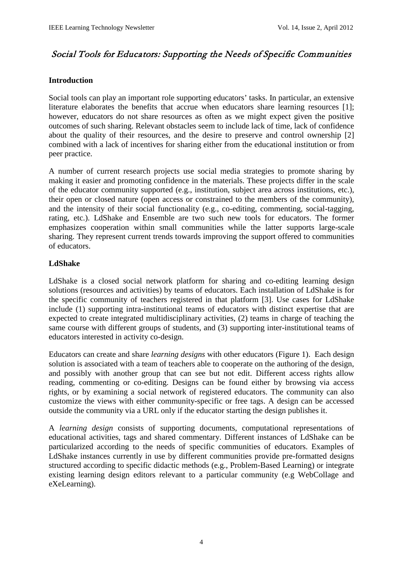# Social Tools for Educators: Supporting the Needs of Specific Communities

# **Introduction**

Social tools can play an important role supporting educators' tasks. In particular, an extensive literature elaborates the benefits that accrue when educators share learning resources [1]; however, educators do not share resources as often as we might expect given the positive outcomes of such sharing. Relevant obstacles seem to include lack of time, lack of confidence about the quality of their resources, and the desire to preserve and control ownership [2] combined with a lack of incentives for sharing either from the educational institution or from peer practice.

A number of current research projects use social media strategies to promote sharing by making it easier and promoting confidence in the materials. These projects differ in the scale of the educator community supported (e.g., institution, subject area across institutions, etc.), their open or closed nature (open access or constrained to the members of the community), and the intensity of their social functionality (e.g., co-editing, commenting, social-tagging, rating, etc.). LdShake and Ensemble are two such new tools for educators. The former emphasizes cooperation within small communities while the latter supports large-scale sharing. They represent current trends towards improving the support offered to communities of educators.

# **LdShake**

LdShake is a closed social network platform for sharing and co-editing learning design solutions (resources and activities) by teams of educators. Each installation of LdShake is for the specific community of teachers registered in that platform [3]. Use cases for LdShake include (1) supporting intra-institutional teams of educators with distinct expertise that are expected to create integrated multidisciplinary activities, (2) teams in charge of teaching the same course with different groups of students, and (3) supporting inter-institutional teams of educators interested in activity co-design.

Educators can create and share *learning designs* with other educators (Figure 1). Each design solution is associated with a team of teachers able to cooperate on the authoring of the design, and possibly with another group that can see but not edit. Different access rights allow reading, commenting or co-editing. Designs can be found either by browsing via access rights, or by examining a social network of registered educators. The community can also customize the views with either community-specific or free tags. A design can be accessed outside the community via a URL only if the educator starting the design publishes it.

A *learning design* consists of supporting documents, computational representations of educational activities, tags and shared commentary. Different instances of LdShake can be particularized according to the needs of specific communities of educators. Examples of LdShake instances currently in use by different communities provide pre-formatted designs structured according to specific didactic methods (e.g., Problem-Based Learning) or integrate existing learning design editors relevant to a particular community (e.g WebCollage and eXeLearning).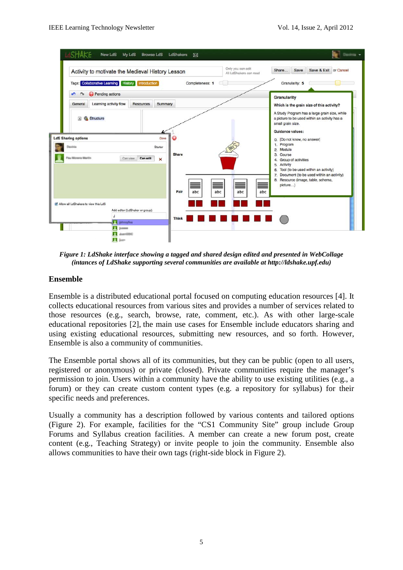

*Figure 1: LdShake interface showing a tagged and shared design edited and presented in WebCollage (intances of LdShake supporting several communities are available at http://ldshake.upf.edu)*

# **Ensemble**

Ensemble is a distributed educational portal focused on computing education resources [4]. It collects educational resources from various sites and provides a number of services related to those resources (e.g., search, browse, rate, comment, etc.). As with other large-scale educational repositories [2], the main use cases for Ensemble include educators sharing and using existing educational resources, submitting new resources, and so forth. However, Ensemble is also a community of communities.

The Ensemble portal shows all of its communities, but they can be public (open to all users, registered or anonymous) or private (closed). Private communities require the manager's permission to join. Users within a community have the ability to use existing utilities (e.g., a forum) or they can create custom content types (e.g. a repository for syllabus) for their specific needs and preferences.

Usually a community has a description followed by various contents and tailored options (Figure 2). For example, facilities for the "CS1 Community Site" group include Group Forums and Syllabus creation facilities. A member can create a new forum post, create content (e.g., Teaching Strategy) or invite people to join the community. Ensemble also allows communities to have their own tags (right-side block in Figure 2).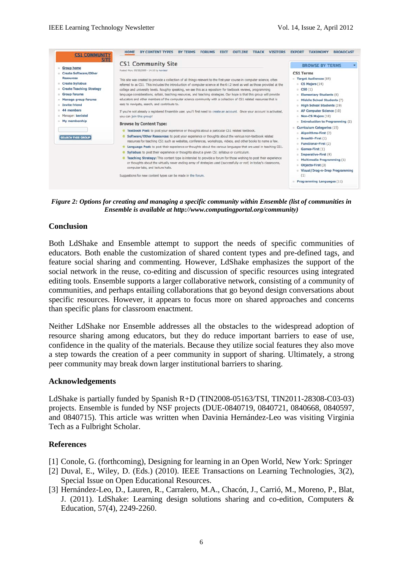

*Figure 2: Options for creating and managing a specific community within Ensemble (list of communities in Ensemble is available at http://www.computingportal.org/community)*

#### **Conclusion**

Both LdShake and Ensemble attempt to support the needs of specific communities of educators. Both enable the customization of shared content types and pre-defined tags, and feature social sharing and commenting. However, LdShake emphasizes the support of the social network in the reuse, co-editing and discussion of specific resources using integrated editing tools. Ensemble supports a larger collaborative network, consisting of a community of communities, and perhaps entailing collaborations that go beyond design conversations about specific resources. However, it appears to focus more on shared approaches and concerns than specific plans for classroom enactment.

Neither LdShake nor Ensemble addresses all the obstacles to the widespread adoption of resource sharing among educators, but they do reduce important barriers to ease of use, confidence in the quality of the materials. Because they utilize social features they also move a step towards the creation of a peer community in support of sharing. Ultimately, a strong peer community may break down larger institutional barriers to sharing.

#### **Acknowledgements**

LdShake is partially funded by Spanish R+D (TIN2008-05163/TSI, TIN2011-28308-C03-03) projects. Ensemble is funded by NSF projects (DUE-0840719, 0840721, 0840668, 0840597, and 0840715). This article was written when Davinia Hernández-Leo was visiting Virginia Tech as a Fulbright Scholar.

#### **References**

- [1] Conole, G. (forthcoming), Designing for learning in an Open World, New York: Springer
- [2] Duval, E., Wiley, D. (Eds.) (2010). IEEE Transactions on Learning Technologies, 3(2), Special Issue on Open Educational Resources.
- [3] Hernández-Leo, D., Lauren, R., Carralero, M.A., Chacón, J., Carrió, M., Moreno, P., Blat, J. (2011). LdShake: Learning design solutions sharing and co-edition, Computers & Education, 57(4), 2249-2260.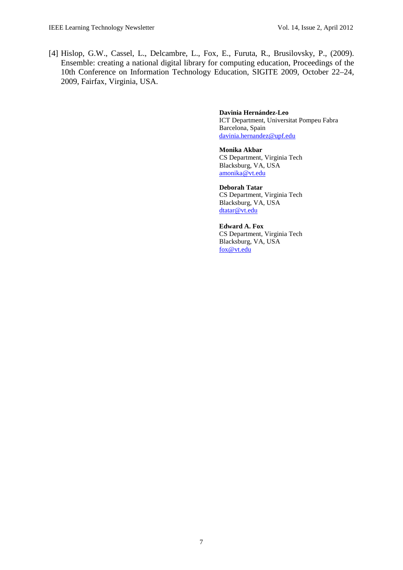[4] Hislop, G.W., Cassel, L., Delcambre, L., Fox, E., Furuta, R., Brusilovsky, P., (2009). Ensemble: creating a national digital library for computing education, Proceedings of the 10th Conference on Information Technology Education, SIGITE 2009, October 22–24, 2009, Fairfax, Virginia, USA.

#### **Davinia Hernández-Leo** ICT Department, Universitat Pompeu Fabra Barcelona, Spain

[davinia.hernandez@upf.edu](mailto:davinia.hernandez@upf.edu)

#### **Monika Akbar**

CS Department, Virginia Tech Blacksburg, VA, USA [amonika@vt.edu](mailto:amonika@vt.edu)

#### **Deborah Tatar** CS Department, Virginia Tech Blacksburg, VA, USA [dtatar@vt.edu](mailto:dtatar@vt.edu)

**Edward A. Fox** CS Department, Virginia Tech Blacksburg, VA, USA [fox@vt.edu](mailto:fox@vt.edu)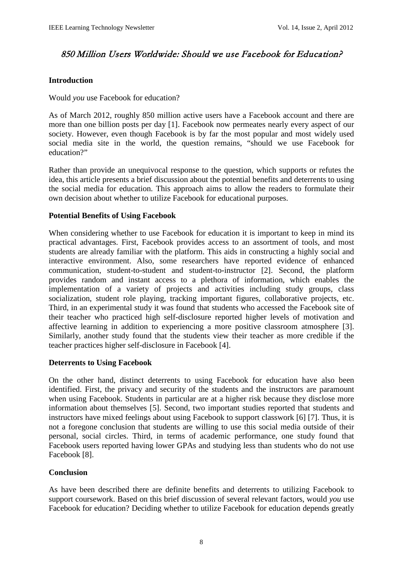# 850 Million Users Worldwide: Should we use Facebook for Education?

# **Introduction**

## Would *you* use Facebook for education?

As of March 2012, roughly 850 million active users have a Facebook account and there are more than one billion posts per day [1]. Facebook now permeates nearly every aspect of our society. However, even though Facebook is by far the most popular and most widely used social media site in the world, the question remains, "should we use Facebook for education?"

Rather than provide an unequivocal response to the question, which supports or refutes the idea, this article presents a brief discussion about the potential benefits and deterrents to using the social media for education. This approach aims to allow the readers to formulate their own decision about whether to utilize Facebook for educational purposes.

#### **Potential Benefits of Using Facebook**

When considering whether to use Facebook for education it is important to keep in mind its practical advantages. First, Facebook provides access to an assortment of tools, and most students are already familiar with the platform. This aids in constructing a highly social and interactive environment. Also, some researchers have reported evidence of enhanced communication, student-to-student and student-to-instructor [2]. Second, the platform provides random and instant access to a plethora of information, which enables the implementation of a variety of projects and activities including study groups, class socialization, student role playing, tracking important figures, collaborative projects, etc. Third, in an experimental study it was found that students who accessed the Facebook site of their teacher who practiced high self-disclosure reported higher levels of motivation and affective learning in addition to experiencing a more positive classroom atmosphere [3]. Similarly, another study found that the students view their teacher as more credible if the teacher practices higher self-disclosure in Facebook [4].

# **Deterrents to Using Facebook**

On the other hand, distinct deterrents to using Facebook for education have also been identified. First, the privacy and security of the students and the instructors are paramount when using Facebook. Students in particular are at a higher risk because they disclose more information about themselves [5]. Second, two important studies reported that students and instructors have mixed feelings about using Facebook to support classwork [6] [7]. Thus, it is not a foregone conclusion that students are willing to use this social media outside of their personal, social circles. Third, in terms of academic performance, one study found that Facebook users reported having lower GPAs and studying less than students who do not use Facebook [8].

# **Conclusion**

As have been described there are definite benefits and deterrents to utilizing Facebook to support coursework. Based on this brief discussion of several relevant factors, would *you* use Facebook for education? Deciding whether to utilize Facebook for education depends greatly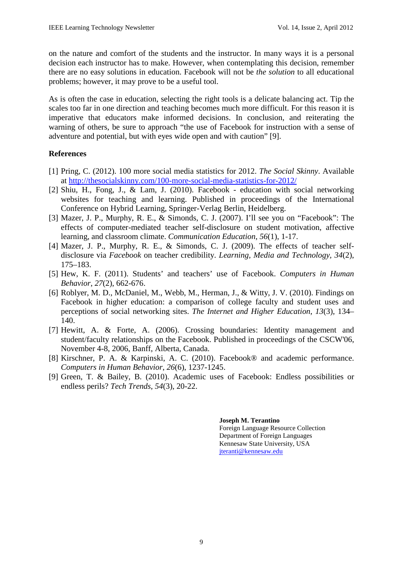on the nature and comfort of the students and the instructor. In many ways it is a personal decision each instructor has to make. However, when contemplating this decision, remember there are no easy solutions in education. Facebook will not be *the solution* to all educational problems; however, it may prove to be a useful tool.

As is often the case in education, selecting the right tools is a delicate balancing act. Tip the scales too far in one direction and teaching becomes much more difficult. For this reason it is imperative that educators make informed decisions. In conclusion, and reiterating the warning of others, be sure to approach "the use of Facebook for instruction with a sense of adventure and potential, but with eyes wide open and with caution" [9].

# **References**

- [1] Pring, C. (2012). 100 more social media statistics for 2012. *The Social Skinny*. Available at<http://thesocialskinny.com/100-more-social-media-statistics-for-2012/>
- [2] Shiu, H., Fong, J.,  $\&$  Lam, J. (2010). Facebook education with social networking websites for teaching and learning. Published in proceedings of the International Conference on Hybrid Learning, Springer-Verlag Berlin, Heidelberg.
- [3] Mazer, J. P., Murphy, R. E., & Simonds, C. J. (2007). I'll see you on "Facebook": The effects of computer-mediated teacher self-disclosure on student motivation, affective learning, and classroom climate. *Communication Education*, *56*(1), 1-17.
- [4] Mazer, J. P., Murphy, R. E., & Simonds, C. J. (2009). The effects of teacher selfdisclosure via *Facebook* on teacher credibility. *Learning, Media and Technology, 34*(2), 175–183.
- [5] Hew, K. F. (2011). Students' and teachers' use of Facebook. *Computers in Human Behavior*, *27*(2), 662-676.
- [6] Roblyer, M. D., McDaniel, M., Webb, M., Herman, J., & Witty, J. V. (2010). Findings on Facebook in higher education: a comparison of college faculty and student uses and perceptions of social networking sites. *The Internet and Higher Education*, *13*(3), 134– 140.
- [7] Hewitt, A. & Forte, A. (2006). Crossing boundaries: Identity management and student/faculty relationships on the Facebook. Published in proceedings of the CSCW'06, November 4-8, 2006, Banff, Alberta, Canada.
- [8] Kirschner, P. A. & Karpinski, A. C. (2010). Facebook® and academic performance. *Computers in Human Behavior*, *26*(6), 1237-1245.
- [9] Green, T. & Bailey, B. (2010). Academic uses of Facebook: Endless possibilities or endless perils? *Tech Trends*, *54*(3), 20-22.

**Joseph M. Terantino**  Foreign Language Resource Collection Department of Foreign Languages Kennesaw State University, USA [jteranti@kennesaw.edu](mailto:jteranti@kennesaw.edu)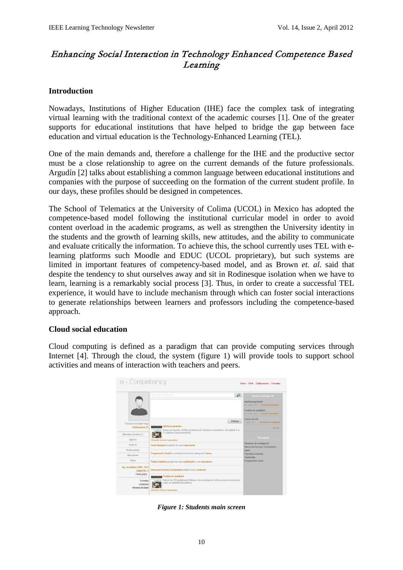# Enhancing Social Interaction in Technology Enhanced Competence Based Learning

# **Introduction**

Nowadays, Institutions of Higher Education (IHE) face the complex task of integrating virtual learning with the traditional context of the academic courses [1]. One of the greater supports for educational institutions that have helped to bridge the gap between face education and virtual education is the Technology-Enhanced Learning (TEL).

One of the main demands and, therefore a challenge for the IHE and the productive sector must be a close relationship to agree on the current demands of the future professionals. Argudín [2] talks about establishing a common language between educational institutions and companies with the purpose of succeeding on the formation of the current student profile. In our days, these profiles should be designed in competences.

The School of Telematics at the University of Colima (UCOL) in Mexico has adopted the competence-based model following the institutional curricular model in order to avoid content overload in the academic programs, as well as strengthen the University identity in the students and the growth of learning skills, new attitudes, and the ability to communicate and evaluate critically the information. To achieve this, the school currently uses TEL with elearning platforms such Moodle and EDUC (UCOL proprietary), but such systems are limited in important features of competency-based model, and as Brown *et. al.* said that despite the tendency to shut ourselves away and sit in Rodinesque isolation when we have to learn, learning is a remarkably social process [3]. Thus, in order to create a successful TEL experience, it would have to include mechanism through which can foster social interactions to generate relationships between learners and professors including the competence-based approach.

# **Cloud social education**

Cloud computing is defined as a paradigm that can provide computing services through Internet [4]. Through the cloud, the system (figure 1) will provide tools to support school activities and means of interaction with teachers and peers.

|                                              |                                                                                                                                                                | Interfaces gestuales<br>30 - mayo - 2011   L'Humano Computadora<br>Pruebas de usabilidad |
|----------------------------------------------|----------------------------------------------------------------------------------------------------------------------------------------------------------------|------------------------------------------------------------------------------------------|
|                                              |                                                                                                                                                                |                                                                                          |
|                                              |                                                                                                                                                                | 30 - mayo - 2011 L. Humano Computadora                                                   |
| Francisco González Vega                      |                                                                                                                                                                | Estado del arte<br>Publicar<br>1-Junio-2011 Seminario de investigación                   |
| Notificaciones (3)                           | <b>RESERVANCE</b> Interfaces gestuales<br><b>HUMAN COMPUTER</b><br>internacione Hacer un resumen del libro de interacción humano-computadora del capítulo 2 al | Vermis.                                                                                  |
| Mensajes privados (1)                        | 7 y elaborar una presentación.                                                                                                                                 |                                                                                          |
| Agenda                                       | Interacción Humano Computadora                                                                                                                                 | Mis materias                                                                             |
| Archivos:                                    | Aarón Munguía ha subido un nuevo documento.                                                                                                                    | Seminario de investigación<br>Interacción Humano Computadora                             |
| Publicaciones                                |                                                                                                                                                                | <b>Inglés</b>                                                                            |
| <b>Marcadores</b>                            | Programación Visual ha cambiado la fecha de entrega de la tarea.                                                                                               | Dispositivos móviles<br>Hipemedia                                                        |
| <b>Notas</b>                                 | Paulina Caderón agregó una nueva publicación a sus marcadores.                                                                                                 | Programación visual                                                                      |
| Ing. en software 2008 - 2011<br>Equipo No. 3 | Interacción Humano Computadora publicó nuevo contenido.                                                                                                        |                                                                                          |
| Crear grupo                                  | <b>Pruebas de usabilidad</b>                                                                                                                                   |                                                                                          |
| <b>RUMAN COMPUTER</b><br>Favoritos           | Aplicar las 10 houristicas de Nielsen a los mockups de la tesis y sacar conclusiones<br><b>INTERACTION</b><br>sobre la usabilidad del sistema.                 |                                                                                          |

*Figure 1: Students main screen*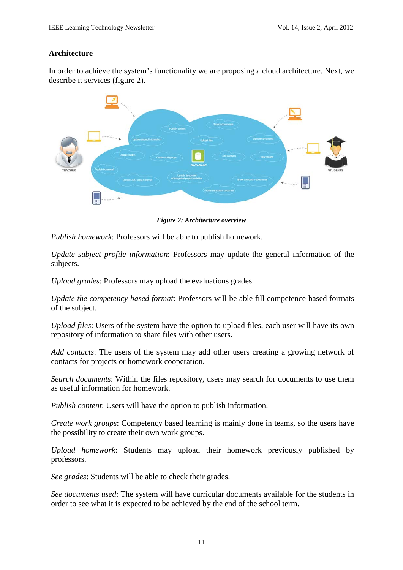# **Architecture**

In order to achieve the system's functionality we are proposing a cloud architecture. Next, we describe it services (figure 2).



*Figure 2: Architecture overview*

*Publish homework*: Professors will be able to publish homework.

*Update subject profile information*: Professors may update the general information of the subjects.

*Upload grades*: Professors may upload the evaluations grades.

*Update the competency based format*: Professors will be able fill competence-based formats of the subject.

*Upload files*: Users of the system have the option to upload files, each user will have its own repository of information to share files with other users.

*Add contacts*: The users of the system may add other users creating a growing network of contacts for projects or homework cooperation.

*Search documents*: Within the files repository, users may search for documents to use them as useful information for homework.

*Publish content*: Users will have the option to publish information.

*Create work groups*: Competency based learning is mainly done in teams, so the users have the possibility to create their own work groups.

*Upload homework*: Students may upload their homework previously published by professors.

*See grades*: Students will be able to check their grades.

*See documents used*: The system will have curricular documents available for the students in order to see what it is expected to be achieved by the end of the school term.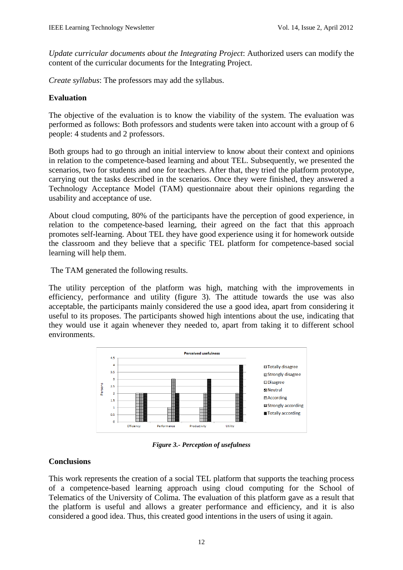*Update curricular documents about the Integrating Project*: Authorized users can modify the content of the curricular documents for the Integrating Project.

*Create syllabus*: The professors may add the syllabus.

# **Evaluation**

The objective of the evaluation is to know the viability of the system. The evaluation was performed as follows: Both professors and students were taken into account with a group of 6 people: 4 students and 2 professors.

Both groups had to go through an initial interview to know about their context and opinions in relation to the competence-based learning and about TEL. Subsequently, we presented the scenarios, two for students and one for teachers. After that, they tried the platform prototype, carrying out the tasks described in the scenarios. Once they were finished, they answered a Technology Acceptance Model (TAM) questionnaire about their opinions regarding the usability and acceptance of use.

About cloud computing, 80% of the participants have the perception of good experience, in relation to the competence-based learning, their agreed on the fact that this approach promotes self-learning. About TEL they have good experience using it for homework outside the classroom and they believe that a specific TEL platform for competence-based social learning will help them.

The TAM generated the following results.

The utility perception of the platform was high, matching with the improvements in efficiency, performance and utility (figure 3). The attitude towards the use was also acceptable, the participants mainly considered the use a good idea, apart from considering it useful to its proposes. The participants showed high intentions about the use, indicating that they would use it again whenever they needed to, apart from taking it to different school environments.



*Figure 3.- Perception of usefulness*

# **Conclusions**

This work represents the creation of a social TEL platform that supports the teaching process of a competence-based learning approach using cloud computing for the School of Telematics of the University of Colima. The evaluation of this platform gave as a result that the platform is useful and allows a greater performance and efficiency, and it is also considered a good idea. Thus, this created good intentions in the users of using it again.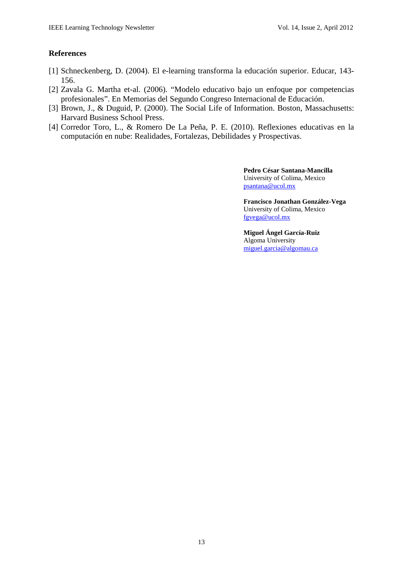# **References**

- [1] Schneckenberg, D. (2004). El e-learning transforma la educación superior. Educar, 143- 156.
- [2] Zavala G. Martha et-al. (2006). "Modelo educativo bajo un enfoque por competencias profesionales". En Memorias del Segundo Congreso Internacional de Educación.
- [3] Brown, J., & Duguid, P. (2000). The Social Life of Information. Boston, Massachusetts: Harvard Business School Press.
- [4] Corredor Toro, L., & Romero De La Peña, P. E. (2010). Reflexiones educativas en la computación en nube: Realidades, Fortalezas, Debilidades y Prospectivas.

**Pedro César Santana-Mancilla** University of Colima, Mexico [psantana@ucol.mx](mailto:psantana@ucol.mx)

**Francisco Jonathan González-Vega** University of Colima, Mexico [fgvega@ucol.mx](mailto:fgvega@ucol.mx)

**Miguel Ángel García-Ruiz** Algoma University [miguel.garcia@algomau.ca](mailto:miguel.garcia@algomau.ca)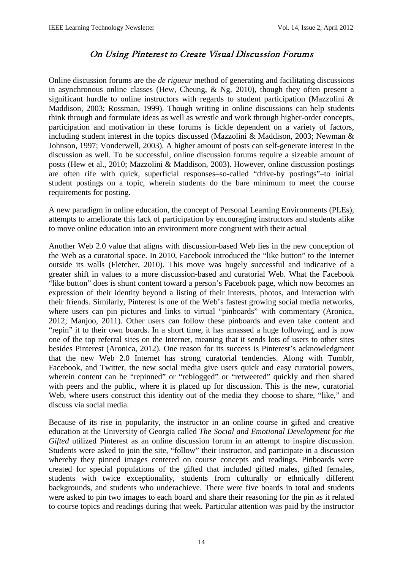# On Using Pinterest to Create Visual Discussion Forums

Online discussion forums are the *de rigueur* method of generating and facilitating discussions in asynchronous online classes (Hew, Cheung, & Ng, 2010), though they often present a significant hurdle to online instructors with regards to student participation (Mazzolini & Maddison, 2003; Rossman, 1999). Though writing in online discussions can help students think through and formulate ideas as well as wrestle and work through higher-order concepts, participation and motivation in these forums is fickle dependent on a variety of factors, including student interest in the topics discussed (Mazzolini & Maddison, 2003; Newman & Johnson, 1997; Vonderwell, 2003). A higher amount of posts can self-generate interest in the discussion as well. To be successful, online discussion forums require a sizeable amount of posts (Hew et al., 2010; Mazzolini & Maddison, 2003). However, online discussion postings are often rife with quick, superficial responses–so-called "drive-by postings"–to initial student postings on a topic, wherein students do the bare minimum to meet the course requirements for posting.

A new paradigm in online education, the concept of Personal Learning Environments (PLEs), attempts to ameliorate this lack of participation by encouraging instructors and students alike to move online education into an environment more congruent with their actual

Another Web 2.0 value that aligns with discussion-based Web lies in the new conception of the Web as a curatorial space. In 2010, Facebook introduced the "like button" to the Internet outside its walls (Fletcher, 2010). This move was hugely successful and indicative of a greater shift in values to a more discussion-based and curatorial Web. What the Facebook "like button" does is shunt content toward a person's Facebook page, which now becomes an expression of their identity beyond a listing of their interests, photos, and interaction with their friends. Similarly, Pinterest is one of the Web's fastest growing social media networks, where users can pin pictures and links to virtual "pinboards" with commentary (Aronica, 2012; Manjoo, 2011). Other users can follow these pinboards and even take content and "repin" it to their own boards. In a short time, it has amassed a huge following, and is now one of the top referral sites on the Internet, meaning that it sends lots of users to other sites besides Pinterest (Aronica, 2012). One reason for its success is Pinterest's acknowledgment that the new Web 2.0 Internet has strong curatorial tendencies. Along with Tumblr, Facebook, and Twitter, the new social media give users quick and easy curatorial powers, wherein content can be "repinned" or "reblogged" or "retweeted" quickly and then shared with peers and the public, where it is placed up for discussion. This is the new, curatorial Web, where users construct this identity out of the media they choose to share, "like," and discuss via social media.

Because of its rise in popularity, the instructor in an online course in gifted and creative education at the University of Georgia called *The Social and Emotional Development for the Gifted* utilized Pinterest as an online discussion forum in an attempt to inspire discussion. Students were asked to join the site, "follow" their instructor, and participate in a discussion whereby they pinned images centered on course concepts and readings. Pinboards were created for special populations of the gifted that included gifted males, gifted females, students with twice exceptionality, students from culturally or ethnically different backgrounds, and students who underachieve. There were five boards in total and students were asked to pin two images to each board and share their reasoning for the pin as it related to course topics and readings during that week. Particular attention was paid by the instructor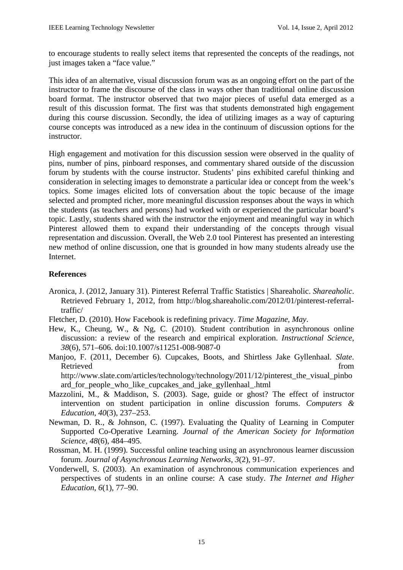to encourage students to really select items that represented the concepts of the readings, not just images taken a "face value."

This idea of an alternative, visual discussion forum was as an ongoing effort on the part of the instructor to frame the discourse of the class in ways other than traditional online discussion board format. The instructor observed that two major pieces of useful data emerged as a result of this discussion format. The first was that students demonstrated high engagement during this course discussion. Secondly, the idea of utilizing images as a way of capturing course concepts was introduced as a new idea in the continuum of discussion options for the instructor.

High engagement and motivation for this discussion session were observed in the quality of pins, number of pins, pinboard responses, and commentary shared outside of the discussion forum by students with the course instructor. Students' pins exhibited careful thinking and consideration in selecting images to demonstrate a particular idea or concept from the week's topics. Some images elicited lots of conversation about the topic because of the image selected and prompted richer, more meaningful discussion responses about the ways in which the students (as teachers and persons) had worked with or experienced the particular board's topic. Lastly, students shared with the instructor the enjoyment and meaningful way in which Pinterest allowed them to expand their understanding of the concepts through visual representation and discussion. Overall, the Web 2.0 tool Pinterest has presented an interesting new method of online discussion, one that is grounded in how many students already use the Internet.

# **References**

- Aronica, J. (2012, January 31). Pinterest Referral Traffic Statistics | Shareaholic. *Shareaholic*. Retrieved February 1, 2012, from http://blog.shareaholic.com/2012/01/pinterest-referraltraffic/
- Fletcher, D. (2010). How Facebook is redefining privacy. *Time Magazine, May*.
- Hew, K., Cheung, W., & Ng, C. (2010). Student contribution in asynchronous online discussion: a review of the research and empirical exploration. *Instructional Science*, *38*(6), 571–606. doi:10.1007/s11251-008-9087-0
- Manjoo, F. (2011, December 6). Cupcakes, Boots, and Shirtless Jake Gyllenhaal. *Slate*. Retrieved from the state of  $\sim$  from the state of  $\sim$  from the state of  $\sim$  from the state of  $\sim$  from the state of  $\sim$  from the state of  $\sim$  from the state of  $\sim$  from the state of  $\sim$  from the state of  $\sim$  from http://www.slate.com/articles/technology/technology/2011/12/pinterest the visual pinbo ard\_for\_people\_who\_like\_cupcakes\_and\_jake\_gyllenhaal\_.html
- Mazzolini, M., & Maddison, S. (2003). Sage, guide or ghost? The effect of instructor intervention on student participation in online discussion forums. *Computers & Education*, *40*(3), 237–253.
- Newman, D. R., & Johnson, C. (1997). Evaluating the Quality of Learning in Computer Supported Co-Operative Learning. *Journal of the American Society for Information Science*, *48*(6), 484–495.
- Rossman, M. H. (1999). Successful online teaching using an asynchronous learner discussion forum. *Journal of Asynchronous Learning Networks*, *3*(2), 91–97.
- Vonderwell, S. (2003). An examination of asynchronous communication experiences and perspectives of students in an online course: A case study. *The Internet and Higher Education*, *6*(1), 77–90.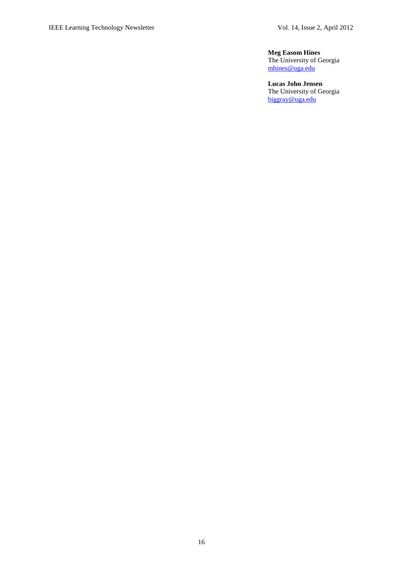**Meg Easom Hines**  The University of Georgia [mhines@uga.edu](mailto:mhines@uga.edu)

**Lucas John Jensen** The University of Georgia [biggray@uga.edu](mailto:biggray@uga.edu)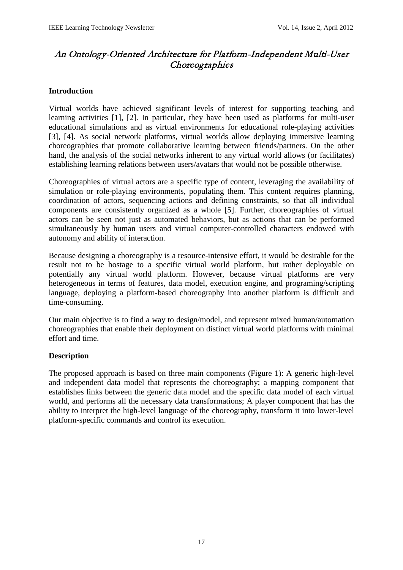# An Ontology-Oriented Architecture for Platform-Independent Multi-User **Choreographies**

# **Introduction**

Virtual worlds have achieved significant levels of interest for supporting teaching and learning activities [1], [2]. In particular, they have been used as platforms for multi-user educational simulations and as virtual environments for educational role-playing activities [3], [4]. As social network platforms, virtual worlds allow deploying immersive learning choreographies that promote collaborative learning between friends/partners. On the other hand, the analysis of the social networks inherent to any virtual world allows (or facilitates) establishing learning relations between users/avatars that would not be possible otherwise.

Choreographies of virtual actors are a specific type of content, leveraging the availability of simulation or role-playing environments, populating them. This content requires planning, coordination of actors, sequencing actions and defining constraints, so that all individual components are consistently organized as a whole [5]. Further, choreographies of virtual actors can be seen not just as automated behaviors, but as actions that can be performed simultaneously by human users and virtual computer-controlled characters endowed with autonomy and ability of interaction.

Because designing a choreography is a resource-intensive effort, it would be desirable for the result not to be hostage to a specific virtual world platform, but rather deployable on potentially any virtual world platform. However, because virtual platforms are very heterogeneous in terms of features, data model, execution engine, and programing/scripting language, deploying a platform-based choreography into another platform is difficult and time-consuming.

Our main objective is to find a way to design/model, and represent mixed human/automation choreographies that enable their deployment on distinct virtual world platforms with minimal effort and time.

# **Description**

The proposed approach is based on three main components (Figure 1): A generic high-level and independent data model that represents the choreography; a mapping component that establishes links between the generic data model and the specific data model of each virtual world, and performs all the necessary data transformations; A player component that has the ability to interpret the high-level language of the choreography, transform it into lower-level platform-specific commands and control its execution.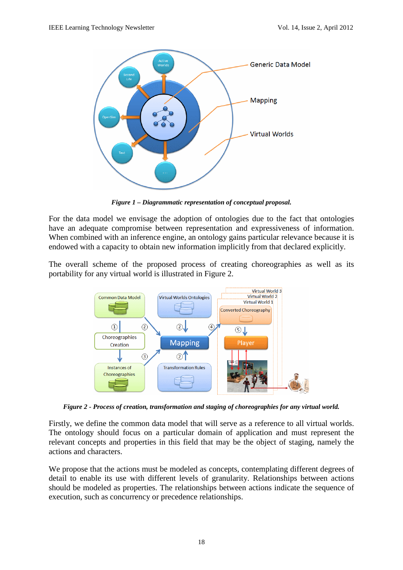

*Figure 1 – Diagrammatic representation of conceptual proposal.*

For the data model we envisage the adoption of ontologies due to the fact that ontologies have an adequate compromise between representation and expressiveness of information. When combined with an inference engine, an ontology gains particular relevance because it is endowed with a capacity to obtain new information implicitly from that declared explicitly.

The overall scheme of the proposed process of creating choreographies as well as its portability for any virtual world is illustrated in Figure 2.



*Figure 2 - Process of creation, transformation and staging of choreographies for any virtual world.*

Firstly, we define the common data model that will serve as a reference to all virtual worlds. The ontology should focus on a particular domain of application and must represent the relevant concepts and properties in this field that may be the object of staging, namely the actions and characters.

We propose that the actions must be modeled as concepts, contemplating different degrees of detail to enable its use with different levels of granularity. Relationships between actions should be modeled as properties. The relationships between actions indicate the sequence of execution, such as concurrency or precedence relationships.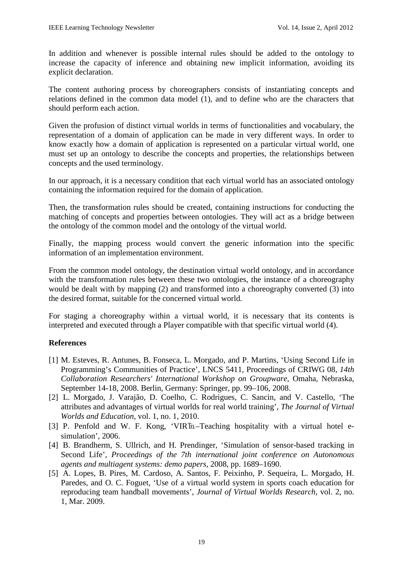In addition and whenever is possible internal rules should be added to the ontology to increase the capacity of inference and obtaining new implicit information, avoiding its explicit declaration.

The content authoring process by choreographers consists of instantiating concepts and relations defined in the common data model (1), and to define who are the characters that should perform each action.

Given the profusion of distinct virtual worlds in terms of functionalities and vocabulary, the representation of a domain of application can be made in very different ways. In order to know exactly how a domain of application is represented on a particular virtual world, one must set up an ontology to describe the concepts and properties, the relationships between concepts and the used terminology.

In our approach, it is a necessary condition that each virtual world has an associated ontology containing the information required for the domain of application.

Then, the transformation rules should be created, containing instructions for conducting the matching of concepts and properties between ontologies. They will act as a bridge between the ontology of the common model and the ontology of the virtual world.

Finally, the mapping process would convert the generic information into the specific information of an implementation environment.

From the common model ontology, the destination virtual world ontology, and in accordance with the transformation rules between these two ontologies, the instance of a choreography would be dealt with by mapping (2) and transformed into a choreography converted (3) into the desired format, suitable for the concerned virtual world.

For staging a choreography within a virtual world, it is necessary that its contents is interpreted and executed through a Player compatible with that specific virtual world (4).

# **References**

- [1] M. Esteves, R. Antunes, B. Fonseca, L. Morgado, and P. Martins, 'Using Second Life in Programming's Communities of Practice', LNCS 5411, Proceedings of CRIWG 08, *14th Collaboration Researchers' International Workshop on Groupware*, Omaha, Nebraska, September 14-18, 2008. Berlin, Germany: Springer, pp. 99–106, 2008.
- [2] L. Morgado, J. Varajão, D. Coelho, C. Rodrigues, C. Sancin, and V. Castello, 'The attributes and advantages of virtual worlds for real world training', *The Journal of Virtual Worlds and Education*, vol. 1, no. 1, 2010.
- [3] P. Penfold and W. F. Kong, 'VIRTEL-Teaching hospitality with a virtual hotel esimulation', 2006.
- [4] B. Brandherm, S. Ullrich, and H. Prendinger, 'Simulation of sensor-based tracking in Second Life', *Proceedings of the 7th international joint conference on Autonomous agents and multiagent systems: demo papers*, 2008, pp. 1689–1690.
- [5] A. Lopes, B. Pires, M. Cardoso, A. Santos, F. Peixinho, P. Sequeira, L. Morgado, H. Paredes, and O. C. Foguet, 'Use of a virtual world system in sports coach education for reproducing team handball movements', *Journal of Virtual Worlds Research*, vol. 2, no. 1, Mar. 2009.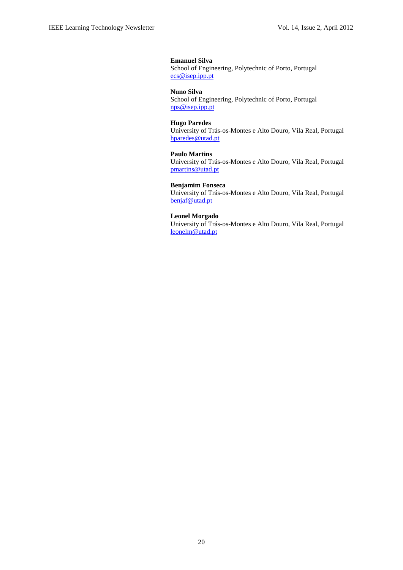#### **Emanuel Silva**

School of Engineering, Polytechnic of Porto, Portugal [ecs@isep.ipp.pt](mailto:ecs@isep.ipp.pt)

#### **Nuno Silva**

School of Engineering, Polytechnic of Porto, Portugal [nps@isep.ipp.pt](mailto:nps%7d@isep.ipp.pt)

#### **Hugo Paredes**

University of Trás-os-Montes e Alto Douro, Vila Real, Portugal [hparedes@utad.pt](mailto:hparedes@utad.pt)

#### **Paulo Martins**

University of Trás-os-Montes e Alto Douro, Vila Real, Portugal [pmartins@utad.pt](mailto:pmartins@utad.pt)

#### **Benjamim Fonseca**

University of Trás-os-Montes e Alto Douro, Vila Real, Portugal [benjaf@utad.pt](mailto:benjaf@utad.pt)

#### **Leonel Morgado**

University of Trás-os-Montes e Alto Douro, Vila Real, Portugal [leonelm@utad.pt](mailto:leonelm@utad.pt)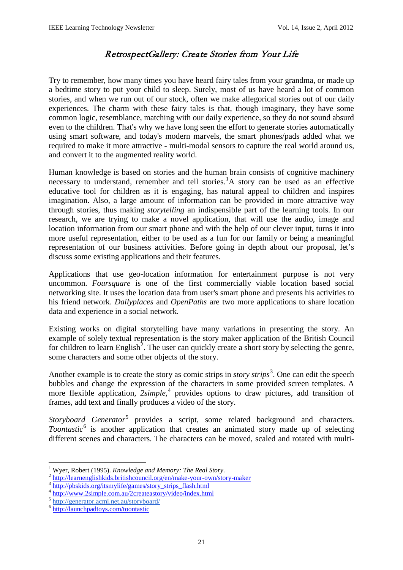# RetrospectGallery: Create Stories from Your Life

Try to remember, how many times you have heard fairy tales from your grandma, or made up a bedtime story to put your child to sleep. Surely, most of us have heard a lot of common stories, and when we run out of our stock, often we make allegorical stories out of our daily experiences. The charm with these fairy tales is that, though imaginary, they have some common logic, resemblance, matching with our daily experience, so they do not sound absurd even to the children. That's why we have long seen the effort to generate stories automatically using smart software, and today's modern marvels, the smart phones/pads added what we required to make it more attractive - multi-modal sensors to capture the real world around us, and convert it to the augmented reality world.

Human knowledge is based on stories and the human brain consists of cognitive machinery necessary to understand, remember and tell stories.<sup>[1](#page-0-0)</sup>A story can be used as an effective educative tool for children as it is engaging, has natural appeal to children and inspires imagination. Also, a large amount of information can be provided in more attractive way through stories, thus making *storytelling* an indispensible part of the learning tools. In our research, we are trying to make a novel application, that will use the audio, image and location information from our smart phone and with the help of our clever input, turns it into more useful representation, either to be used as a fun for our family or being a meaningful representation of our business activities. Before going in depth about our proposal, let's discuss some existing applications and their features.

Applications that use geo-location information for entertainment purpose is not very uncommon. *Foursquare* is one of the first commercially viable location based social networking site. It uses the location data from user's smart phone and presents his activities to his friend network. *Dailyplaces* and *OpenPaths* are two more applications to share location data and experience in a social network.

Existing works on digital storytelling have many variations in presenting the story. An example of solely textual representation is the story maker application of the British Council for children to learn English<sup>[2](#page-21-0)</sup>. The user can quickly create a short story by selecting the genre, some characters and some other objects of the story.

Another example is to create the story as comic strips in *story strips*<sup>[3](#page-21-1)</sup>. One can edit the speech bubbles and change the expression of the characters in some provided screen templates. A more flexible application, *2simple*, [4](#page-21-2) provides options to draw pictures, add transition of frames, add text and finally produces a video of the story.

*Storyboard Generator*<sup>[5](#page-21-3)</sup> provides a script, some related background and characters. *Toontastic*<sup>[6](#page-21-4)</sup> is another application that creates an animated story made up of selecting different scenes and characters. The characters can be moved, scaled and rotated with multi-

<sup>&</sup>lt;sup>1</sup> Wyer, Robert (1995). *Knowledge and Memory: The Real Story*.<br><sup>2</sup> http://<u>learnenglishkids.britishcouncil.org/en/make-your-own/story-maker 3 [http://pbskids.org/itsmylife/games/story\\_strips\\_flash.html](http://pbskids.org/itsmylife/games/story_strips_flash.html)</u>

<span id="page-21-1"></span><span id="page-21-0"></span>

<span id="page-21-2"></span><sup>4</sup> <http://www.2simple.com.au/2createastory/video/index.html>

<span id="page-21-3"></span><sup>5</sup> [http://generator.acmi.net.au/storyboard/](http://generator.acmi.net.au/storyboard/%29)

<span id="page-21-4"></span><sup>6</sup> <http://launchpadtoys.com/toontastic>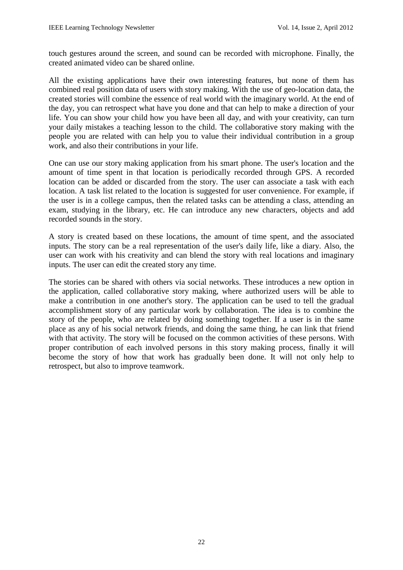touch gestures around the screen, and sound can be recorded with microphone. Finally, the created animated video can be shared online.

All the existing applications have their own interesting features, but none of them has combined real position data of users with story making. With the use of geo-location data, the created stories will combine the essence of real world with the imaginary world. At the end of the day, you can retrospect what have you done and that can help to make a direction of your life. You can show your child how you have been all day, and with your creativity, can turn your daily mistakes a teaching lesson to the child. The collaborative story making with the people you are related with can help you to value their individual contribution in a group work, and also their contributions in your life.

One can use our story making application from his smart phone. The user's location and the amount of time spent in that location is periodically recorded through GPS. A recorded location can be added or discarded from the story. The user can associate a task with each location. A task list related to the location is suggested for user convenience. For example, if the user is in a college campus, then the related tasks can be attending a class, attending an exam, studying in the library, etc. He can introduce any new characters, objects and add recorded sounds in the story.

A story is created based on these locations, the amount of time spent, and the associated inputs. The story can be a real representation of the user's daily life, like a diary. Also, the user can work with his creativity and can blend the story with real locations and imaginary inputs. The user can edit the created story any time.

The stories can be shared with others via social networks. These introduces a new option in the application, called collaborative story making, where authorized users will be able to make a contribution in one another's story. The application can be used to tell the gradual accomplishment story of any particular work by collaboration. The idea is to combine the story of the people, who are related by doing something together. If a user is in the same place as any of his social network friends, and doing the same thing, he can link that friend with that activity. The story will be focused on the common activities of these persons. With proper contribution of each involved persons in this story making process, finally it will become the story of how that work has gradually been done. It will not only help to retrospect, but also to improve teamwork.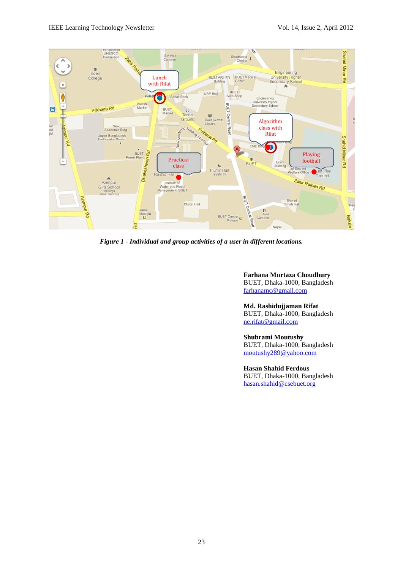

*Figure 1 - Individual and group activities of a user in different locations.*

**Farhana Murtaza Choudhury** BUET, Dhaka-1000, Bangladesh [farhanamc@gmail.com](mailto:farhanamc@gmail.com)

**Md. Rashidujjaman Rifat**

BUET, Dhaka-1000, Bangladesh [ne.rifat@gmail.com](mailto:ne.rifat@gmail.com)

#### **Shubrami Moutushy**

BUET, Dhaka-1000, Bangladesh [moutushy289@yahoo.com](mailto:moutushy289@yahoo.com)

**Hasan Shahid Ferdous** BUET, Dhaka-1000, Bangladesh [hasan.shahid@csebuet.org](mailto:Hasan.shahid@csebuet.org)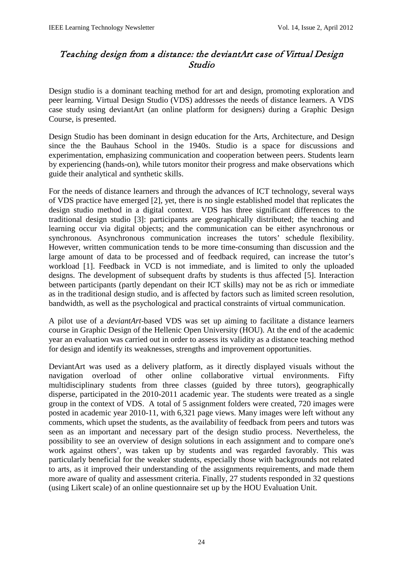# Teaching design from a distance: the deviantArt case of Virtual Design Studio

Design studio is a dominant teaching method for art and design, promoting exploration and peer learning. Virtual Design Studio (VDS) addresses the needs of distance learners. A VDS case study using deviantArt (an online platform for designers) during a Graphic Design Course, is presented.

Design Studio has been dominant in design education for the Arts, Architecture, and Design since the the Bauhaus School in the 1940s. Studio is a space for discussions and experimentation, emphasizing communication and cooperation between peers. Students learn by experiencing (hands-on), while tutors monitor their progress and make observations which guide their analytical and synthetic skills.

For the needs of distance learners and through the advances of ICT technology, several ways of VDS practice have emerged [2], yet, there is no single established model that replicates the design studio method in a digital context. VDS has three significant differences to the traditional design studio [3]: participants are geographically distributed; the teaching and learning occur via digital objects; and the communication can be either asynchronous or synchronous. Asynchronous communication increases the tutors' schedule flexibility. However, written communication tends to be more time-consuming than discussion and the large amount of data to be processed and of feedback required, can increase the tutor's workload [1]. Feedback in VCD is not immediate, and is limited to only the uploaded designs. The development of subsequent drafts by students is thus affected [5]. Interaction between participants (partly dependant on their ICT skills) may not be as rich or immediate as in the traditional design studio, and is affected by factors such as limited screen resolution, bandwidth, as well as the psychological and practical constraints of virtual communication.

A pilot use of a *deviantArt*-based VDS was set up aiming to facilitate a distance learners course in Graphic Design of the Hellenic Open University (HOU). At the end of the academic year an evaluation was carried out in order to assess its validity as a distance teaching method for design and identify its weaknesses, strengths and improvement opportunities.

DeviantArt was used as a delivery platform, as it directly displayed visuals without the navigation overload of other online collaborative virtual environments. Fifty multidisciplinary students from three classes (guided by three tutors), geographically disperse, participated in the 2010-2011 academic year. The students were treated as a single group in the context of VDS. A total of 5 assignment folders were created, 720 images were posted in academic year 2010-11, with 6,321 page views. Many images were left without any comments, which upset the students, as the availability of feedback from peers and tutors was seen as an important and necessary part of the design studio process. Nevertheless, the possibility to see an overview of design solutions in each assignment and to compare one's work against others', was taken up by students and was regarded favorably. This was particularly beneficial for the weaker students, especially those with backgrounds not related to arts, as it improved their understanding of the assignments requirements, and made them more aware of quality and assessment criteria. Finally, 27 students responded in 32 questions (using Likert scale) of an online questionnaire set up by the HOU Evaluation Unit.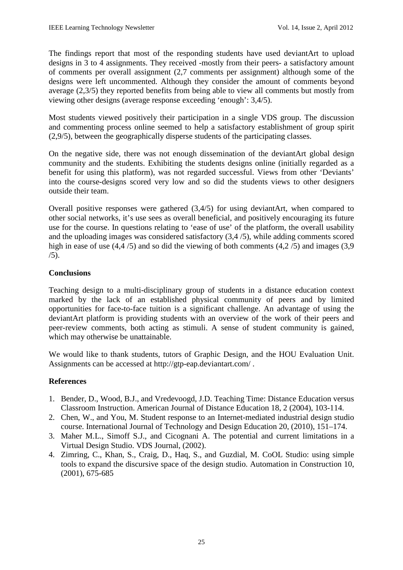The findings report that most of the responding students have used deviantArt to upload designs in 3 to 4 assignments. They received -mostly from their peers- a satisfactory amount of comments per overall assignment (2,7 comments per assignment) although some of the designs were left uncommented. Although they consider the amount of comments beyond average (2,3/5) they reported benefits from being able to view all comments but mostly from viewing other designs (average response exceeding 'enough': 3,4/5).

Most students viewed positively their participation in a single VDS group. The discussion and commenting process online seemed to help a satisfactory establishment of group spirit (2,9/5), between the geographically disperse students of the participating classes.

On the negative side, there was not enough dissemination of the deviantArt global design community and the students. Exhibiting the students designs online (initially regarded as a benefit for using this platform), was not regarded successful. Views from other 'Deviants' into the course-designs scored very low and so did the students views to other designers outside their team.

Overall positive responses were gathered (3,4/5) for using deviantArt, when compared to other social networks, it's use sees as overall beneficial, and positively encouraging its future use for the course. In questions relating to 'ease of use' of the platform, the overall usability and the uploading images was considered satisfactory (3,4 /5), while adding comments scored high in ease of use  $(4,4/5)$  and so did the viewing of both comments  $(4,2/5)$  and images  $(3,9)$  $(5)$ .

# **Conclusions**

Teaching design to a multi-disciplinary group of students in a distance education context marked by the lack of an established physical community of peers and by limited opportunities for face-to-face tuition is a significant challenge. An advantage of using the deviantArt platform is providing students with an overview of the work of their peers and peer-review comments, both acting as stimuli. A sense of student community is gained, which may otherwise be unattainable.

We would like to thank students, tutors of Graphic Design, and the HOU Evaluation Unit. Assignments can be accessed at<http://gtp-eap.deviantart.com/> .

# **References**

- 1. Bender, D., Wood, B.J., and Vredevoogd, J.D. Teaching Time: Distance Education versus Classroom Instruction. American Journal of Distance Education 18, 2 (2004), 103-114.
- 2. Chen, W., and You, M. Student response to an Internet-mediated industrial design studio course. International Journal of Technology and Design Education 20, (2010), 151–174.
- 3. Maher M.L., Simoff S.J., and Cicognani A. The potential and current limitations in a Virtual Design Studio. VDS Journal, (2002).
- 4. Zimring, C., Khan, S., Craig, D., Haq, S., and Guzdial, M. CoOL Studio: using simple tools to expand the discursive space of the design studio. Automation in Construction 10, (2001), 675-685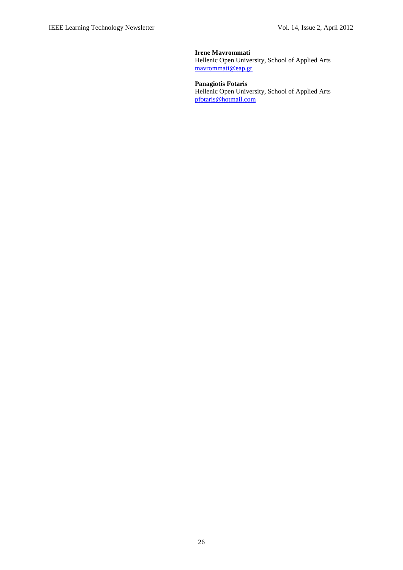**Irene Mavrommati** Hellenic Open University, School of Applied Arts [mavrommati@eap.gr](mailto:mavrommati@eap.gr)

**Panagiotis Fotaris** Hellenic Open University, School of Applied Arts [pfotaris@hotmail.com](mailto:pfotaris@hotmail.com)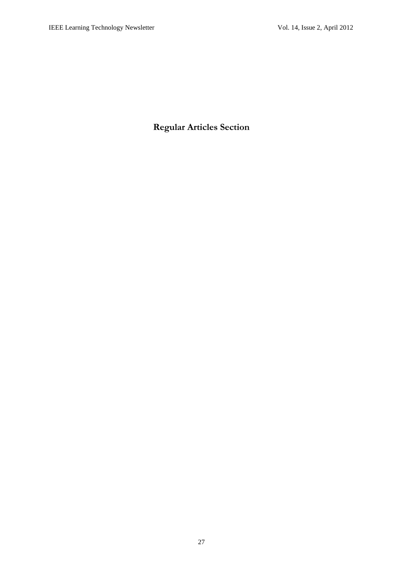**Regular Articles Section**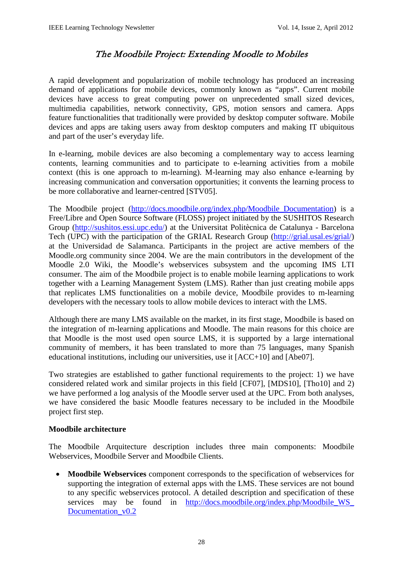# The Moodbile Project: Extending Moodle to Mobiles

A rapid development and popularization of mobile technology has produced an increasing demand of applications for mobile devices, commonly known as "apps". Current mobile devices have access to great computing power on unprecedented small sized devices, multimedia capabilities, network connectivity, GPS, motion sensors and camera. Apps feature functionalities that traditionally were provided by desktop computer software. Mobile devices and apps are taking users away from desktop computers and making IT ubiquitous and part of the user's everyday life.

In e-learning, mobile devices are also becoming a complementary way to access learning contents, learning communities and to participate to e-learning activities from a mobile context (this is one approach to m-learning). M-learning may also enhance e-learning by increasing communication and conversation opportunities; it convents the learning process to be more collaborative and learner-centred [STV05].

The Moodbile project [\(http://docs.moodbile.org/index.php/Moodbile\\_Documentation\)](http://docs.moodbile.org/index.php/Moodbile_Documentation) is a Free/Libre and Open Source Software (FLOSS) project initiated by the SUSHITOS Research Group [\(http://sushitos.essi.upc.edu/\)](http://sushitos.essi.upc.edu/) at the Universitat Politècnica de Catalunya - Barcelona Tech (UPC) with the participation of the GRIAL Research Group [\(http://grial.usal.es/grial/\)](http://grial.usal.es/grial/) at the Universidad de Salamanca. Participants in the project are active members of the Moodle.org community since 2004. We are the main contributors in the development of the Moodle 2.0 Wiki, the Moodle's webservices subsystem and the upcoming IMS LTI consumer. The aim of the Moodbile project is to enable mobile learning applications to work together with a Learning Management System (LMS). Rather than just creating mobile apps that replicates LMS functionalities on a mobile device, Moodbile provides to m-learning developers with the necessary tools to allow mobile devices to interact with the LMS.

Although there are many LMS available on the market, in its first stage, Moodbile is based on the integration of m-learning applications and Moodle. The main reasons for this choice are that Moodle is the most used open source LMS, it is supported by a large international community of members, it has been translated to more than 75 languages, many Spanish educational institutions, including our universities, use it [ACC+10] and [Abe07].

Two strategies are established to gather functional requirements to the project: 1) we have considered related work and similar projects in this field [CF07], [MDS10], [Tho10] and 2) we have performed a log analysis of the Moodle server used at the UPC. From both analyses, we have considered the basic Moodle features necessary to be included in the Moodbile project first step.

# **Moodbile architecture**

The Moodbile Arquitecture description includes three main components: Moodbile Webservices, Moodbile Server and Moodbile Clients.

• **Moodbile Webservices** component corresponds to the specification of webservices for supporting the integration of external apps with the LMS. These services are not bound to any specific webservices protocol. A detailed description and specification of these services may be found in http://docs.moodbile.org/index.php/Moodbile WS [Documentation\\_v0.2](http://docs.moodbile.org/index.php/Moodbile_WS_%20Documentation_v0.2)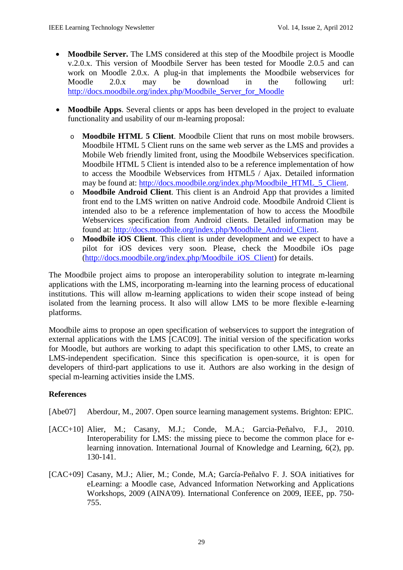- **Moodbile Server.** The LMS considered at this step of the Moodbile project is Moodle v.2.0.x. This version of Moodbile Server has been tested for Moodle 2.0.5 and can work on Moodle 2.0.x. A plug-in that implements the Moodbile webservices for Moodle 2.0.x may be download in the following url: [http://docs.moodbile.org/index.php/Moodbile\\_Server\\_for\\_Moodle](http://docs.moodbile.org/index.php/Moodbile_Server_for_Moodle)
- **Moodbile Apps**. Several clients or apps has been developed in the project to evaluate functionality and usability of our m-learning proposal:
	- o **Moodbile HTML 5 Client**. Moodbile Client that runs on most mobile browsers. Moodbile HTML 5 Client runs on the same web server as the LMS and provides a Mobile Web friendly limited front, using the Moodbile Webservices specification. Moodbile HTML 5 Client is intended also to be a reference implementation of how to access the Moodbile Webservices from HTML5 / Ajax. Detailed information may be found at: [http://docs.moodbile.org/index.php/Moodbile\\_HTML\\_5\\_Client.](http://docs.moodbile.org/index.php/Moodbile_HTML_5_Client)
	- o **Moodbile Android Client**. This client is an Android App that provides a limited front end to the LMS written on native Android code. Moodbile Android Client is intended also to be a reference implementation of how to access the Moodbile Webservices specification from Android clients. Detailed information may be found at: [http://docs.moodbile.org/index.php/Moodbile\\_Android\\_Client.](http://docs.moodbile.org/index.php/Moodbile_Android_Client)
	- o **Moodbile iOS Client**. This client is under development and we expect to have a pilot for iOS devices very soon. Please, check the Moodbile iOs page [\(http://docs.moodbile.org/index.php/Moodbile\\_iOS\\_Client\)](http://docs.moodbile.org/index.php/Moodbile_iOS_Client) for details.

The Moodbile project aims to propose an interoperability solution to integrate m-learning applications with the LMS, incorporating m-learning into the learning process of educational institutions. This will allow m-learning applications to widen their scope instead of being isolated from the learning process. It also will allow LMS to be more flexible e-learning platforms.

Moodbile aims to propose an open specification of webservices to support the integration of external applications with the LMS [CAC09]. The initial version of the specification works for Moodle, but authors are working to adapt this specification to other LMS, to create an LMS-independent specification. Since this specification is open-source, it is open for developers of third-part applications to use it. Authors are also working in the design of special m-learning activities inside the LMS.

# **References**

- [Abe07] Aberdour, M., 2007. Open source learning management systems. Brighton: EPIC.
- [ACC+10] Alier, M.; Casany, M.J.; Conde, M.A.; Garcia-Peñalvo, F.J., 2010. Interoperability for LMS: the missing piece to become the common place for elearning innovation. International Journal of Knowledge and Learning, 6(2), pp. 130-141.
- [CAC+09] Casany, M.J.; Alier, M.; Conde, M.A; García-Peñalvo F. J. SOA initiatives for eLearning: a Moodle case, Advanced Information Networking and Applications Workshops, 2009 (AINA'09). International Conference on 2009, IEEE, pp. 750- 755.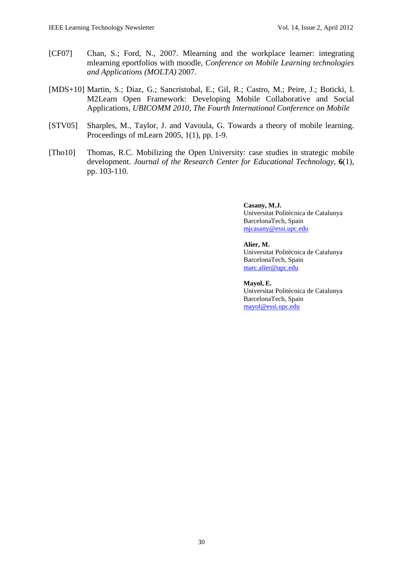- [CF07] Chan, S.; Ford, N., 2007. Mlearning and the workplace learner: integrating mlearning eportfolios with moodle, *Conference on Mobile Learning technologies and Applications (MOLTA)* 2007.
- [MDS+10] Martin, S.; Diaz, G.; Sancristobal, E.; Gil, R.; Castro, M.; Peire, J.; Boticki, I. M2Learn Open Framework: Developing Mobile Collaborative and Social Applications, *UBICOMM 2010, The Fourth International Conference on Mobile*
- [STV05] Sharples, M., Taylor, J. and Vavoula, G. Towards a theory of mobile learning. Proceedings of mLearn 2005, 1(1), pp. 1-9.
- [Tho10] Thomas, R.C. Mobilizing the Open University: case studies in strategic mobile development. *Journal of the Research Center for Educational Technology,* **6**(1), pp. 103-110.

**Casany, M.J.** Universitat Politècnica de Catalunya BarcelonaTech, Spain [mjcasany@essi.upc.edu](mailto:mjcasany@essi.upc.edu)

**Alier, M.** Universitat Politècnica de Catalunya BarcelonaTech, Spain

# [marc.alier@upc.edu](mailto:marc.alier@upc.edu)

**Mayol, E.** Universitat Politècnica de Catalunya BarcelonaTech, Spain [mayol@essi.upc.edu](mailto:mayol@essi.upc.edu)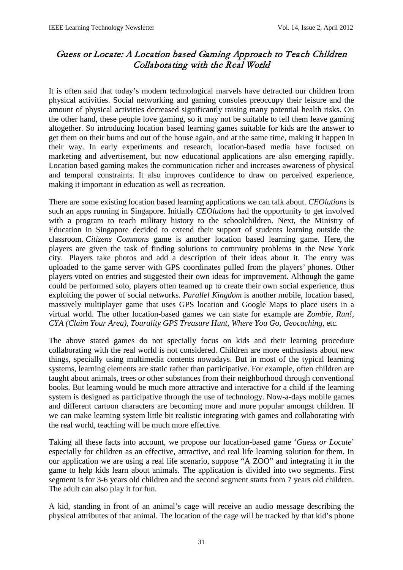# Guess or Locate: A Location based Gaming Approach to Teach Children Collaborating with the Real World

It is often said that today's modern technological marvels have detracted our children from physical activities. Social networking and gaming consoles preoccupy their leisure and the amount of physical activities decreased significantly raising many potential health risks. On the other hand, these people love gaming, so it may not be suitable to tell them leave gaming altogether. So introducing location based learning games suitable for kids are the answer to get them on their bums and out of the house again, and at the same time, making it happen in their way. In early experiments and research, location-based media have focused on marketing and advertisement, but now educational applications are also emerging rapidly. Location based gaming makes the communication richer and increases awareness of physical and temporal constraints. It also improves confidence to draw on perceived experience, making it important in education as well as recreation.

There are some existing location based learning applications we can talk about. *CEOlutions* is such an apps running in Singapore. Initially *CEOlutions* had the opportunity to get involved with a program to teach military history to the schoolchildren. Next, the Ministry of Education in Singapore decided to extend their support of students learning outside the classroom. *[Citizens Commons](http://www.nydailynews.com/tech_guide/2011/06/20/2011-06-20_citizens_use_iphone_game_commons_to_help_repair_ny_during_come_out__play_river_t.html)* game is another location based learning game. Here, the players are given the task of finding solutions to community problems in the New York city. Players take photos and add a description of their ideas about it. The entry was uploaded to the game server with GPS coordinates pulled from the players' phones. Other players voted on entries and suggested their own ideas for improvement. Although the game could be performed solo, players often teamed up to create their own social experience, thus exploiting the power of social networks. *Parallel Kingdom* is another mobile, location based, massively multiplayer game that uses GPS location and Google Maps to place users in a virtual world. The other location-based games we can state for example are *Zombie*, *Run!*, *CYA (Claim Your Area)*, *Tourality GPS Treasure Hunt*, *Where You Go*, *Geocaching*, etc.

The above stated games do not specially focus on kids and their learning procedure collaborating with the real world is not considered. Children are more enthusiasts about new things, specially using multimedia contents nowadays. But in most of the typical learning systems, learning elements are static rather than participative. For example, often children are taught about animals, trees or other substances from their neighborhood through conventional books. But learning would be much more attractive and interactive for a child if the learning system is designed as participative through the use of technology. Now-a-days mobile games and different cartoon characters are becoming more and more popular amongst children. If we can make learning system little bit realistic integrating with games and collaborating with the real world, teaching will be much more effective.

Taking all these facts into account, we propose our location-based game '*Guess or Locate*' especially for children as an effective, attractive, and real life learning solution for them. In our application we are using a real life scenario, suppose "A ZOO" and integrating it in the game to help kids learn about animals. The application is divided into two segments. First segment is for 3-6 years old children and the second segment starts from 7 years old children. The adult can also play it for fun.

A kid, standing in front of an animal's cage will receive an audio message describing the physical attributes of that animal. The location of the cage will be tracked by that kid's phone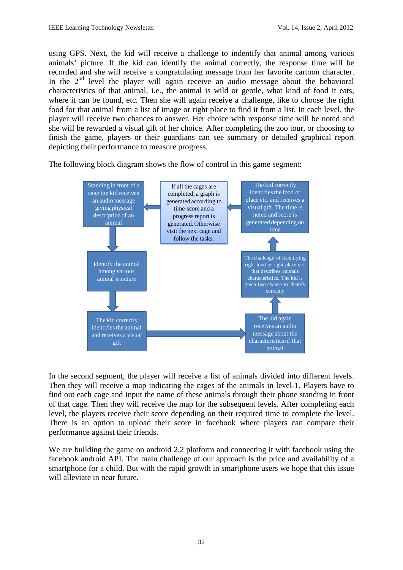using GPS. Next, the kid will receive a challenge to indentify that animal among various animals' picture. If the kid can identify the animal correctly, the response time will be recorded and she will receive a congratulating message from her favorite cartoon character. In the  $2<sup>nd</sup>$  level the player will again receive an audio message about the behavioral characteristics of that animal, i.e., the animal is wild or gentle, what kind of food it eats, where it can be found, etc. Then she will again receive a challenge, like to choose the right food for that animal from a list of image or right place to find it from a list. In each level, the player will receive two chances to answer. Her choice with response time will be noted and she will be rewarded a visual gift of her choice. After completing the zoo tour, or choosing to finish the game, players or their guardians can see summary or detailed graphical report depicting their performance to measure progress.

The following block diagram shows the flow of control in this game segment:



In the second segment, the player will receive a list of animals divided into different levels. Then they will receive a map indicating the cages of the animals in level-1. Players have to find out each cage and input the name of these animals through their phone standing in front of that cage. Then they will receive the map for the subsequent levels. After completing each level, the players receive their score depending on their required time to complete the level. There is an option to upload their score in facebook where players can compare their performance against their friends.

We are building the game on android 2.2 platform and connecting it with facebook using the facebook android API. The main challenge of our approach is the price and availability of a smartphone for a child. But with the rapid growth in smartphone users we hope that this issue will alleviate in near future.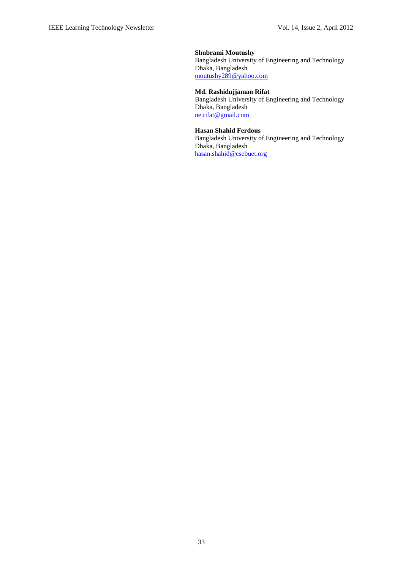**Shubrami Moutushy**  Bangladesh University of Engineering and Technology Dhaka, Bangladesh [moutushy289@yahoo.com](mailto:moutushy289@yahoo.com)

#### **Md. Rashidujjaman Rifat** Bangladesh University of Engineering and Technology Dhaka, Bangladesh

[ne.rifat@gmail.com](mailto:ne.rifat@gmail.com)

#### **Hasan Shahid Ferdous**

Bangladesh University of Engineering and Technology Dhaka, Bangladesh [hasan.shahid@csebuet.org](mailto:Hasan.shahid@csebuet.org)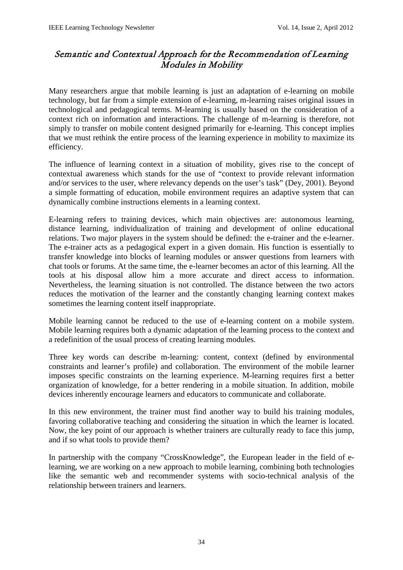# Semantic and Contextual Approach for the Recommendation of Learning Modules in Mobility

Many researchers argue that mobile learning is just an adaptation of e-learning on mobile technology, but far from a simple extension of e-learning, m-learning raises original issues in technological and pedagogical terms. M-learning is usually based on the consideration of a context rich on information and interactions. The challenge of m-learning is therefore, not simply to transfer on mobile content designed primarily for e-learning. This concept implies that we must rethink the entire process of the learning experience in mobility to maximize its efficiency.

The influence of learning context in a situation of mobility, gives rise to the concept of contextual awareness which stands for the use of "context to provide relevant information and/or services to the user, where relevancy depends on the user's task" (Dey, 2001). Beyond a simple formatting of education, mobile environment requires an adaptive system that can dynamically combine instructions elements in a learning context.

E-learning refers to training devices, which main objectives are: autonomous learning, distance learning, individualization of training and development of online educational relations. Two major players in the system should be defined: the e-trainer and the e-learner. The e-trainer acts as a pedagogical expert in a given domain. His function is essentially to transfer knowledge into blocks of learning modules or answer questions from learners with chat tools or forums. At the same time, the e-learner becomes an actor of this learning. All the tools at his disposal allow him a more accurate and direct access to information. Nevertheless, the learning situation is not controlled. The distance between the two actors reduces the motivation of the learner and the constantly changing learning context makes sometimes the learning content itself inappropriate.

Mobile learning cannot be reduced to the use of e-learning content on a mobile system. Mobile learning requires both a dynamic adaptation of the learning process to the context and a redefinition of the usual process of creating learning modules.

Three key words can describe m-learning: content, context (defined by environmental constraints and learner's profile) and collaboration. The environment of the mobile learner imposes specific constraints on the learning experience. M-learning requires first a better organization of knowledge, for a better rendering in a mobile situation. In addition, mobile devices inherently encourage learners and educators to communicate and collaborate.

In this new environment, the trainer must find another way to build his training modules, favoring collaborative teaching and considering the situation in which the learner is located. Now, the key point of our approach is whether trainers are culturally ready to face this jump, and if so what tools to provide them?

In partnership with the company "CrossKnowledge", the European leader in the field of elearning, we are working on a new approach to mobile learning, combining both technologies like the semantic web and recommender systems with socio-technical analysis of the relationship between trainers and learners.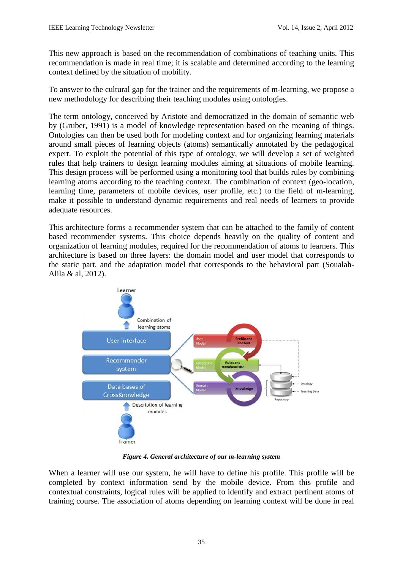This new approach is based on the recommendation of combinations of teaching units. This recommendation is made in real time; it is scalable and determined according to the learning context defined by the situation of mobility.

To answer to the cultural gap for the trainer and the requirements of m-learning, we propose a new methodology for describing their teaching modules using ontologies.

The term ontology, conceived by Aristote and democratized in the domain of semantic web by (Gruber, 1991) is a model of knowledge representation based on the meaning of things. Ontologies can then be used both for modeling context and for organizing learning materials around small pieces of learning objects (atoms) semantically annotated by the pedagogical expert. To exploit the potential of this type of ontology, we will develop a set of weighted rules that help trainers to design learning modules aiming at situations of mobile learning. This design process will be performed using a monitoring tool that builds rules by combining learning atoms according to the teaching context. The combination of context (geo-location, learning time, parameters of mobile devices, user profile, etc.) to the field of m-learning, make it possible to understand dynamic requirements and real needs of learners to provide adequate resources.

This architecture forms a recommender system that can be attached to the family of content based recommender systems. This choice depends heavily on the quality of content and organization of learning modules, required for the recommendation of atoms to learners. This architecture is based on three layers: the domain model and user model that corresponds to the static part, and the adaptation model that corresponds to the behavioral part (Soualah-Alila & al, 2012).



*Figure 4. General architecture of our m-learning system*

When a learner will use our system, he will have to define his profile. This profile will be completed by context information send by the mobile device. From this profile and contextual constraints, logical rules will be applied to identify and extract pertinent atoms of training course. The association of atoms depending on learning context will be done in real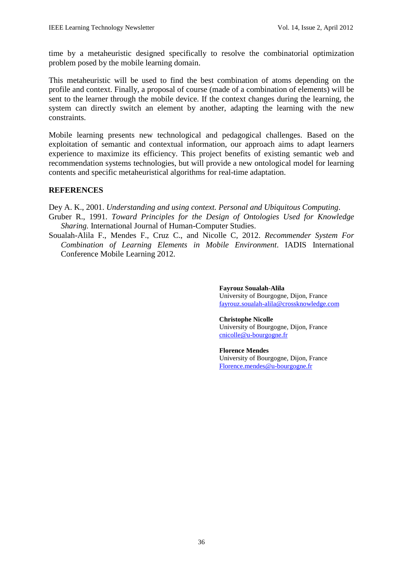time by a metaheuristic designed specifically to resolve the combinatorial optimization problem posed by the mobile learning domain.

This metaheuristic will be used to find the best combination of atoms depending on the profile and context. Finally, a proposal of course (made of a combination of elements) will be sent to the learner through the mobile device. If the context changes during the learning, the system can directly switch an element by another, adapting the learning with the new constraints.

Mobile learning presents new technological and pedagogical challenges. Based on the exploitation of semantic and contextual information, our approach aims to adapt learners experience to maximize its efficiency. This project benefits of existing semantic web and recommendation systems technologies, but will provide a new ontological model for learning contents and specific metaheuristical algorithms for real-time adaptation.

# **REFERENCES**

Dey A. K., 2001. *Understanding and using context. Personal and Ubiquitous Computing*.

- Gruber R., 1991. *Toward Principles for the Design of Ontologies Used for Knowledge Sharing.* International Journal of Human-Computer Studies.
- Soualah-Alila F., Mendes F., Cruz C., and Nicolle C, 2012. *Recommender System For Combination of Learning Elements in Mobile Environment*. IADIS International Conference Mobile Learning 2012.

**Fayrouz Soualah-Alila** University of Bourgogne, Dijon, France [fayrouz.soualah-alila@crossknowledge.com](mailto:fayrouz.soualah-alila@crossknowledge.com)

**Christophe Nicolle** University of Bourgogne, Dijon, France [cnicolle@u-bourgogne.fr](mailto:cnicolle@u-bourgogne.fr)

**Florence Mendes**  University of Bourgogne, Dijon, France [Florence.mendes@u-bourgogne.fr](mailto:Florence.mendes@u-bourgogne.fr)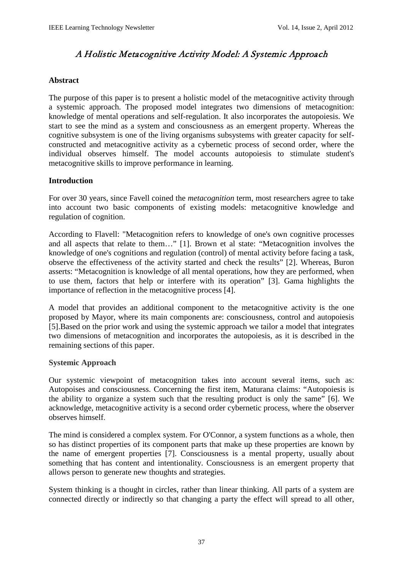# A Holistic Metacognitive Activity Model: A Systemic Approach

# **Abstract**

The purpose of this paper is to present a holistic model of the metacognitive activity through a systemic approach. The proposed model integrates two dimensions of metacognition: knowledge of mental operations and self-regulation. It also incorporates the autopoiesis. We start to see the mind as a system and consciousness as an emergent property. Whereas the cognitive subsystem is one of the living organisms subsystems with greater capacity for selfconstructed and metacognitive activity as a cybernetic process of second order, where the individual observes himself. The model accounts autopoiesis to stimulate student's metacognitive skills to improve performance in learning.

# **Introduction**

For over 30 years, since Favell coined the *metacognition* term, most researchers agree to take into account two basic components of existing models: metacognitive knowledge and regulation of cognition.

According to Flavell: "Metacognition refers to knowledge of one's own cognitive processes and all aspects that relate to them…" [1]. Brown et al state: "Metacognition involves the knowledge of one's cognitions and regulation (control) of mental activity before facing a task, observe the effectiveness of the activity started and check the results" [2]. Whereas, Buron asserts: "Metacognition is knowledge of all mental operations, how they are performed, when to use them, factors that help or interfere with its operation" [3]. Gama highlights the importance of reflection in the metacognitive process [4].

A model that provides an additional component to the metacognitive activity is the one proposed by Mayor, where its main components are: consciousness, control and autopoiesis [5].Based on the prior work and using the systemic approach we tailor a model that integrates two dimensions of metacognition and incorporates the autopoiesis, as it is described in the remaining sections of this paper.

# **Systemic Approach**

Our systemic viewpoint of metacognition takes into account several items, such as: Autopoises and consciousness. Concerning the first item, Maturana claims: "Autopoiesis is the ability to organize a system such that the resulting product is only the same" [6]. We acknowledge, metacognitive activity is a second order cybernetic process, where the observer observes himself.

The mind is considered a complex system. For O'Connor, a system functions as a whole, then so has distinct properties of its component parts that make up these properties are known by the name of emergent properties [7]. Consciousness is a mental property, usually about something that has content and intentionality. Consciousness is an emergent property that allows person to generate new thoughts and strategies.

System thinking is a thought in circles, rather than linear thinking. All parts of a system are connected directly or indirectly so that changing a party the effect will spread to all other,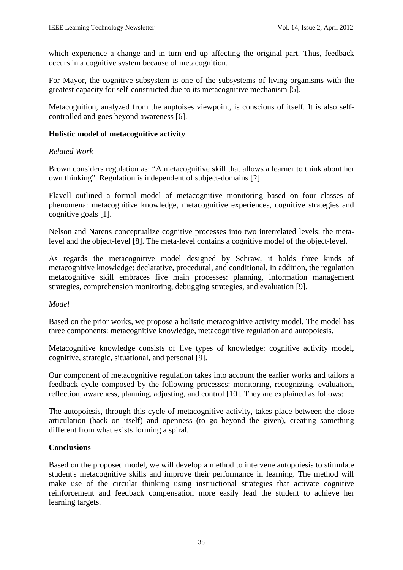which experience a change and in turn end up affecting the original part. Thus, feedback occurs in a cognitive system because of metacognition.

For Mayor, the cognitive subsystem is one of the subsystems of living organisms with the greatest capacity for self-constructed due to its metacognitive mechanism [5].

Metacognition, analyzed from the auptoises viewpoint, is conscious of itself. It is also selfcontrolled and goes beyond awareness [6].

# **Holistic model of metacognitive activity**

# *Related Work*

Brown considers regulation as: "A metacognitive skill that allows a learner to think about her own thinking". Regulation is independent of subject-domains [2].

Flavell outlined a formal model of metacognitive monitoring based on four classes of phenomena: metacognitive knowledge, metacognitive experiences, cognitive strategies and cognitive goals [1].

Nelson and Narens conceptualize cognitive processes into two interrelated levels: the metalevel and the object-level [8]. The meta-level contains a cognitive model of the object-level.

As regards the metacognitive model designed by Schraw, it holds three kinds of metacognitive knowledge: declarative, procedural, and conditional. In addition, the regulation metacognitive skill embraces five main processes: planning, information management strategies, comprehension monitoring, debugging strategies, and evaluation [9].

# *Model*

Based on the prior works, we propose a holistic metacognitive activity model. The model has three components: metacognitive knowledge, metacognitive regulation and autopoiesis.

Metacognitive knowledge consists of five types of knowledge: cognitive activity model, cognitive, strategic, situational, and personal [9].

Our component of metacognitive regulation takes into account the earlier works and tailors a feedback cycle composed by the following processes: monitoring, recognizing, evaluation, reflection, awareness, planning, adjusting, and control [10]. They are explained as follows:

The autopoiesis, through this cycle of metacognitive activity, takes place between the close articulation (back on itself) and openness (to go beyond the given), creating something different from what exists forming a spiral.

# **Conclusions**

Based on the proposed model, we will develop a method to intervene autopoiesis to stimulate student's metacognitive skills and improve their performance in learning. The method will make use of the circular thinking using instructional strategies that activate cognitive reinforcement and feedback compensation more easily lead the student to achieve her learning targets.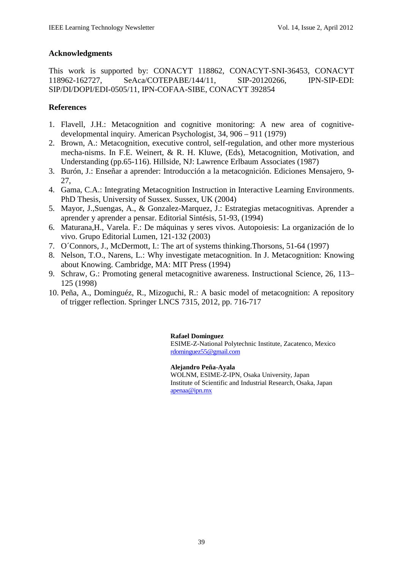# **Acknowledgments**

This work is supported by: CONACYT 118862, CONACYT-SNI-36453, CONACYT 118962-162727, SeAca/COTEPABE/144/11, SIP-20120266, IPN-SIP-EDI: SIP/DI/DOPI/EDI-0505/11, IPN-COFAA-SIBE, CONACYT 392854

# **References**

- 1. Flavell, J.H.: Metacognition and cognitive monitoring: A new area of cognitivedevelopmental inquiry. American Psychologist, 34, 906 – 911 (1979)
- 2. Brown, A.: Metacognition, executive control, self-regulation, and other more mysterious mecha-nisms. In F.E. Weinert, & R. H. Kluwe, (Eds), Metacognition, Motivation, and Understanding (pp.65-116). Hillside, NJ: Lawrence Erlbaum Associates (1987)
- 3. Burón, J.: Enseñar a aprender: Introducción a la metacognición. Ediciones Mensajero, 9- 27,
- 4. Gama, C.A.: Integrating Metacognition Instruction in Interactive Learning Environments. PhD Thesis, University of Sussex. Sussex, UK (2004)
- 5. Mayor, J.,Suengas, A., & Gonzalez-Marquez, J.: Estrategias metacognitivas. Aprender a aprender y aprender a pensar. Editorial Sintésis, 51-93, (1994)
- 6. Maturana,H., Varela. F.: De máquinas y seres vivos. Autopoiesis: La organización de lo vivo. Grupo Editorial Lumen, 121-132 (2003)
- 7. O´Connors, J., McDermott, I.: The art of systems thinking.Thorsons, 51-64 (1997)
- 8. Nelson, T.O., Narens, L.: Why investigate metacognition. In J. Metacognition: Knowing about Knowing. Cambridge, MA: MIT Press (1994)
- 9. Schraw, G.: Promoting general metacognitive awareness. Instructional Science, 26, 113– 125 (1998)
- 10. Peña, A., Dominguéz, R., Mizoguchi, R.: A basic model of metacognition: A repository of trigger reflection. Springer LNCS 7315, 2012, pp. 716-717

#### **Rafael Dominguez**

ESIME-Z-National Polytechnic Institute, Zacatenco, Mexico [rdominguez55@gmail.com](mailto:rdominguez55@gmail.com)

**Alejandro Peña-Ayala**

WOLNM, ESIME-Z-IPN, Osaka University, Japan Institute of Scientific and Industrial Research, Osaka, Japan [apenaa@ipn.mx](mailto:apenaa@ipn.mx)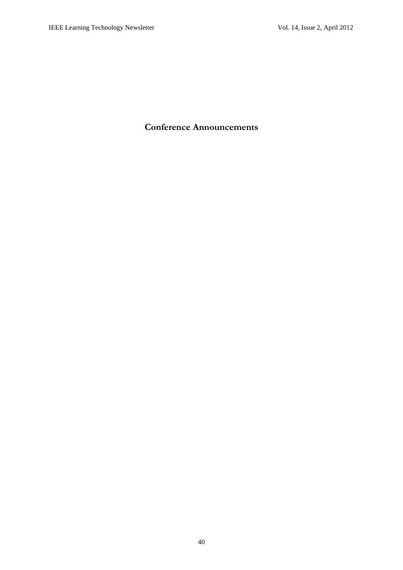# **Conference Announcements**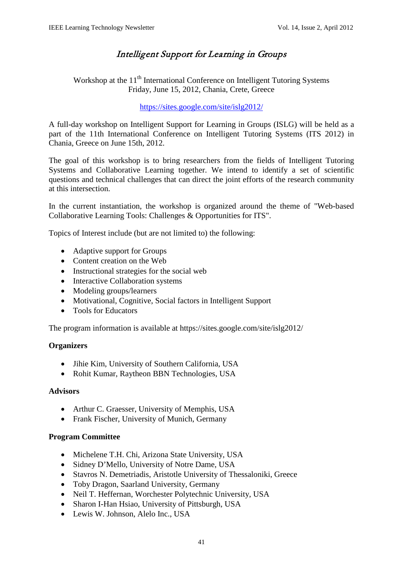# Intelligent Support for Learning in Groups

Workshop at the 11<sup>th</sup> International Conference on Intelligent Tutoring Systems Friday, June 15, 2012, Chania, Crete, Greece

<https://sites.google.com/site/islg2012/>

A full-day workshop on Intelligent Support for Learning in Groups (ISLG) will be held as a part of the 11th International Conference on Intelligent Tutoring Systems (ITS 2012) in Chania, Greece on June 15th, 2012.

The goal of this workshop is to bring researchers from the fields of Intelligent Tutoring Systems and Collaborative Learning together. We intend to identify a set of scientific questions and technical challenges that can direct the joint efforts of the research community at this intersection.

In the current instantiation, the workshop is organized around the theme of "Web-based Collaborative Learning Tools: Challenges & Opportunities for ITS".

Topics of Interest include (but are not limited to) the following:

- Adaptive support for Groups
- Content creation on the Web
- Instructional strategies for the social web
- Interactive Collaboration systems
- Modeling groups/learners
- Motivational, Cognitive, Social factors in Intelligent Support
- Tools for Educators

The program information is available at https://sites.google.com/site/islg2012/

# **Organizers**

- Jihie Kim, University of Southern California, USA
- Rohit Kumar, Raytheon BBN Technologies, USA

# **Advisors**

- Arthur C. Graesser, University of Memphis, USA
- Frank Fischer, University of Munich, Germany

# **Program Committee**

- Michelene T.H. Chi, Arizona State University, USA
- Sidney D'Mello, University of Notre Dame, USA
- Stavros N. Demetriadis, Aristotle University of Thessaloniki, Greece
- Toby Dragon, Saarland University, Germany
- Neil T. Heffernan, Worchester Polytechnic University, USA
- Sharon I-Han Hsiao, University of Pittsburgh, USA
- Lewis W. Johnson, Alelo Inc., USA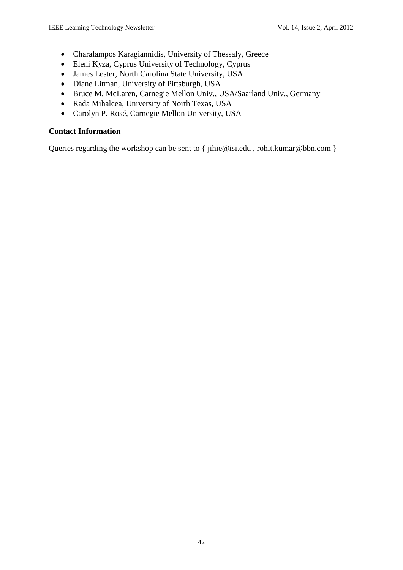- Charalampos Karagiannidis, University of Thessaly, Greece
- Eleni Kyza, Cyprus University of Technology, Cyprus
- James Lester, North Carolina State University, USA
- Diane Litman, University of Pittsburgh, USA
- Bruce M. McLaren, Carnegie Mellon Univ., USA/Saarland Univ., Germany
- Rada Mihalcea, University of North Texas, USA
- Carolyn P. Rosé, Carnegie Mellon University, USA

# **Contact Information**

Queries regarding the workshop can be sent to { jihie@isi.edu, rohit.kumar@bbn.com }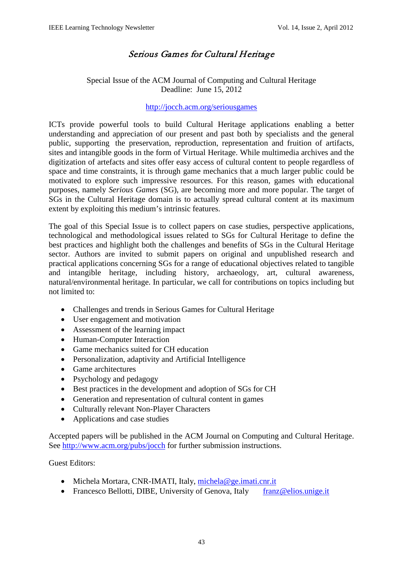# Serious Games for Cultural Heritage

# Special Issue of the ACM Journal of Computing and Cultural Heritage Deadline: June 15, 2012

## <http://jocch.acm.org/seriousgames>

ICTs provide powerful tools to build Cultural Heritage applications enabling a better understanding and appreciation of our present and past both by specialists and the general public, supporting the preservation, reproduction, representation and fruition of artifacts, sites and intangible goods in the form of Virtual Heritage. While multimedia archives and the digitization of artefacts and sites offer easy access of cultural content to people regardless of space and time constraints, it is through game mechanics that a much larger public could be motivated to explore such impressive resources. For this reason, games with educational purposes, namely *Serious Games* (SG), are becoming more and more popular. The target of SGs in the Cultural Heritage domain is to actually spread cultural content at its maximum extent by exploiting this medium's intrinsic features.

The goal of this Special Issue is to collect papers on case studies, perspective applications, technological and methodological issues related to SGs for Cultural Heritage to define the best practices and highlight both the challenges and benefits of SGs in the Cultural Heritage sector. Authors are invited to submit papers on original and unpublished research and practical applications concerning SGs for a range of educational objectives related to tangible and intangible heritage, including history, archaeology, art, cultural awareness, natural/environmental heritage. In particular, we call for contributions on topics including but not limited to:

- Challenges and trends in Serious Games for Cultural Heritage
- User engagement and motivation
- Assessment of the learning impact
- Human-Computer Interaction
- Game mechanics suited for CH education
- Personalization, adaptivity and Artificial Intelligence
- Game architectures
- Psychology and pedagogy
- Best practices in the development and adoption of SGs for CH
- Generation and representation of cultural content in games
- Culturally relevant Non-Player Characters
- Applications and case studies

Accepted papers will be published in the ACM Journal on Computing and Cultural Heritage. See<http://www.acm.org/pubs/jocch> for further submission instructions.

# Guest Editors:

- Michela Mortara, CNR-IMATI, Italy, [michela@ge.imati.cnr.it](mailto:michela@ge.imati.cnr.it)
- Francesco Bellotti, DIBE, University of Genova, Italy [franz@elios.unige.it](mailto:franz@elios.unige.it)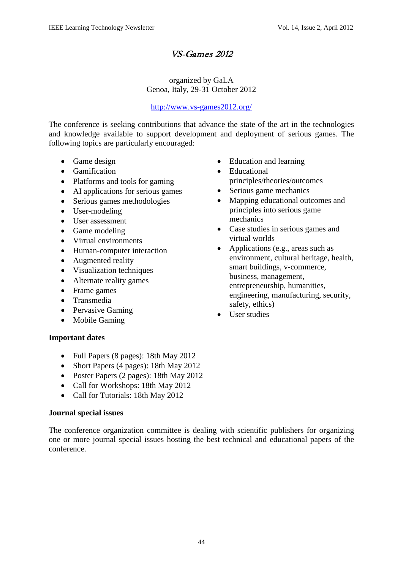# VS-Games 2012

# organized by GaLA Genoa, Italy, 29-31 October 2012

# <http://www.vs-games2012.org/>

The conference is seeking contributions that advance the state of the art in the technologies and knowledge available to support development and deployment of serious games. The following topics are particularly encouraged:

- Game design
- Gamification
- Platforms and tools for gaming
- AI applications for serious games
- Serious games methodologies
- User-modeling
- User assessment
- Game modeling
- Virtual environments
- Human-computer interaction
- Augmented reality
- Visualization techniques
- Alternate reality games
- Frame games
- Transmedia
- Pervasive Gaming
- Mobile Gaming

# **Important dates**

- Full Papers (8 pages): 18th May 2012
- Short Papers (4 pages): 18th May 2012
- Poster Papers (2 pages): 18th May 2012
- Call for Workshops: 18th May 2012
- Call for Tutorials: 18th May 2012

# **Journal special issues**

The conference organization committee is dealing with scientific publishers for organizing one or more journal special issues hosting the best technical and educational papers of the conference.

- Education and learning
- Educational principles/theories/outcomes
- Serious game mechanics
- Mapping educational outcomes and principles into serious game mechanics
- Case studies in serious games and virtual worlds
- Applications (e.g., areas such as environment, cultural heritage, health, smart buildings, v-commerce, business, management, entrepreneurship, humanities, engineering, manufacturing, security, safety, ethics)
- User studies